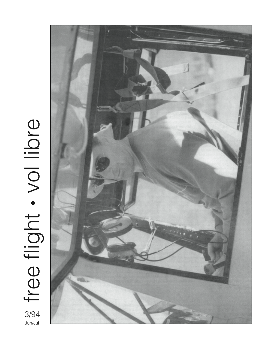

3/94<br>Jun/Jul **Julie free flight . vol libre** free flight . vol libre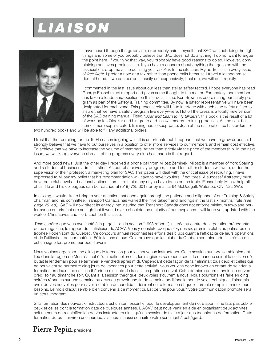# **LIAISON**



I have heard through the grapevine, or probably said it myself, that SAC was not doing the right things and some of you probably believe that SAC does not do anything. I do not want to argue the point here. If you think that way, you probably have good reasons to do so. However, complaining achieves precious little. If you have a concern about anything that goes on with the association, drop me a line outlining your *solution* to the situation. My address is in every issue of free flight. I prefer a note or a fax rather than phone calls because I travel a lot and am seldom at home. If we can correct it easily or inexpensively, trust me, we will do it rapidly.

I commented in the last issue about our less than stellar safety record. I hope everyone has read George Eckschmiedt's report and given some thought to the matter. Fortunately, one member has taken a leadership position on this crucial issue. Ken Brewin is coordinating our safety program as part of the Safety & Training committee. By now, a safety representative will have been designated for each zone. This person's role will be to interface with each club safety officer to insure that we have a safety program live everywhere. Hot off the press is a totally new version of the SAC training manual. Titled "Soar and Learn to Fly Gliders", this book is the result of a lot of work by Ian Oldaker and his group and follows modern training practises. As the fleet becomes more sophisticated, training has to keep pace. Joan at the national office has orders for

two hundred books and will be able to fill any additional orders.

I trust that the recruiting for the 1994 season is going well. It is unfortunate but it appears that we have to grow or perish. I strongly believe that we have to put ourselves in a position to offer more services to our members and remain cost effective. To achieve that we have to increase the volume of members, rather than strictly via the price of the membership. In the next issue, we will keep everyone abreast of the progress every club has made in that regard.

And more good news! Just the other day I received a phone call from Milosz Zeminek. Milosz is a member of York Soaring and a student of business administration. As part of a university program, he and four other students will write, under the supervision of their professor, a marketing plan for SAC. This paper will deal with the critical issue of recruiting. I have expressed to Milosz my belief that his recommendation will have to have two tiers, if not three. A successful strategy must have both club level and national actions. I am sure that many of you have ideas on the topic. Please help Milosz help all of us. He and his colleagues can be reached at (519) 725-0013 or by mail at 64 McDougall, Waterloo, ON N2L 2W5.

In closing, I would like to bring to your attention that once again through the patience and diligence of our Training & Safety chairman and his committee, Transport Canada has waived the "five takeoff and landings in the last six months" rule (see page 20 ed). SAC will now direct its energy into insuring that Transport Canada does not enforce minimum towplane performance criteria that are so high that it would make obsolete the majority of our towplanes. I will keep you updated with the work of Chris Eaves and Herb Lach on this issue.

J'ose espérer que vous avez noté à la page 11 de la section "1993 reports", insérée au centre de la parution précédente de ce magazine, le rapport du statisticien de ACVV. Vous y constaterez que cinq des six premiers clubs au palmarès du trophée Roden sont du Québec. Ce concours annuel reconnaît les efforts des clubs quant à l'efficacité de leurs opérations et de l'utilisation de leur matériel. Félicitations à tous. Cela prouve que les clubs du Québec sont bien administrés ce qui est un signe fort prometteur pour l'avenir.

Nous voulons organiser une clinique de formation pour les nouveaux instructeurs. Cette session aura vraisemblablement lieu dans la région de Montréal cet été. Traditionellement, les stagiaires se rencontraient le dimanche soir et la session débutait le lendemain pour se terminer le vendredi après midi. Cependant cette façon de fair éliminait tous ceux et celles qui ne pouvaient se permettre cinq jours de vacances pour cette activité. Nous voulons donc innover en offrant de scinder la formation en deux: une session théorique distincte de la session pratique en vol. Cette dernière pourrait avoir lieu du vendredi soir au dimanche soir. Quant à la session théorique, deux voies s'ouvrent à nous. Nous pourrions les faire en cinq soirées réparties sur une semaine ou deux ou prévoir une fin de semaine additionelle pour le volet technique. J'aimerais avoir de vos nouvelles pour savoir combien de candidats désirent cette formation et quelle formule remplirait mieux leur besoins. Le mois d'août semble bien convenir à ce moment ci. Est ce vrai pour vous? Votre communication prompte sera un atout important.

Si la formation des nouveaux instructeurs est un item essentiel pour le développement de notre sport, il ne faut pas oublier ceux et celles dont la formation date de quelques années. L'ACVV peut nous venir en aide en organisant deux activités, soit un cours de recalcification de vos instructeurs ainsi qu'une session de mise à jour des techniques de formation. Cette formation durerait environ une journée. J'aimerais aussi connaître votre sentiment à cet égard.

# **Pierre Pepin**, president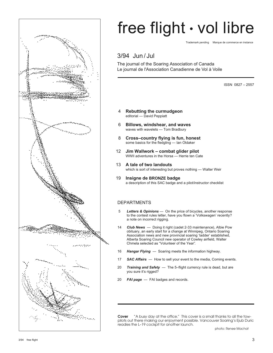

# free flight • vol libre

Trademark pending Marque de commerce en instance

# 3/94 Jun / Jul

The journal of the Soaring Association of Canada Le journal de l'Association Canadienne de Vol à Voile

ISSN 0827 – 2557

- 4 **Rebutting the curmudgeon** editorial — David Peppiatt
- 6 **Billows, windshear, and waves** waves with wavelets — Tom Bradbury
- 8 **Cross–country flying is fun, honest** some basics for the fledgling — Ian Oldaker
- 12 **Jim Wallwork combat glider pilot** WWII adventures in the Horsa — Herrie ten Cate
- 13 **A tale of two landouts** which is sort of interesting but proves nothing — Walter Weir
- 19 **Insigne de BRONZE badge** a description of this SAC badge and a pilot/instructor checklist

# DEPARTMENTS

- 5 *Letters & Opinions* On the price of bicycles, another response to the contest rules letter, have you flown a 'Volkswagen' recently? a note on incorrect rigging.
- 14 *Club News*  Doing it right (cadet 2-33 maintenance), Albie Pow obituary, an early start for a change at Winnipeg, Ontario Soaring Association news and new provincial soaring 'ladder' established, Alberta Soaring Council new operator of Cowley airfield, Walter Chmela selected as "Volunteer of the Year".
- 16 *Hangar Flying*  Soaring meets the information highway.
- 17 *SAC Affairs*  How to sell your event to the media, Coming events.
- 20 *Training and Safety*  The 5–flight currency rule is dead, but are you sure it's rigged?
- 20 *FAI page* FAI badges and records.

**Cover** "A busy day at the office." This cover is a small thanks to all the towpilots out there making our enjoyment possible. Vancouver Soaring's Ejub Duric readies the L–19 cockpit for another launch.

photo: Renee Machat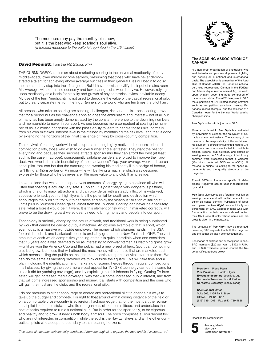# **rebutting the curmudgeon**

The mediocre may pay the monthly bills now, but it is the best who keep soaring's soul alive. (a forceful response to the editorial reprinted in the 1/94 issue)

# **David Peppiatt**, from the NZ Gliding Kiwi

THE CURMUDGEON rattles on about marketing soaring to the universal mediocrity of early middle–aged, lower middle income earners, presuming that those who have never demonstrated a talent for achieving above average success in their general lives will begin to do so the moment they step into their first glider. Bull! I have no wish to vilify the input of mainstream Mr. Average, without him no economy and few soaring clubs would survive. However, relying upon mediocrity as a basis for stability and growth of any enterprise invites inevitable decay. My use of the term 'mediocrity' is not used to derogate the value of the casual recreational pilot but to clearly separate me from the Ingo Renners of the world who are ten times the pilot I am.

All persons who take up soaring are seeking challenges, risk, and thrills. Local soaring provides that for a period but as the challenge ebbs so does the enthusiasm and interest – not of all but of many, as has been amply demonstrated by the constant reference to the declining numbers and membership turnover in our sport. As one becomes more competent at soaring the number of risks diminish congruent with the pilot's ability to learn to handle those risks, normally from his own mistakes. Interest level is maintained by maintaining the risk level, and that is done by extending the horizons of the initial challenge of flying by cross–country competition.

The survival of soaring worldwide relies upon attracting highly motivated success–oriented competition pilots, those who wish to go ever further and ever faster. They want the best of everything and because their success attracts sponsorship they can afford the best (at least such is the case in Europe), consequently sailplane builders are forced to improve their product. And who is the main beneficiary of those advances? Yep, your average weekend recreational pilot. You can bet that the curmudgeon, wearing his mediocrity like a badge of honour, isn't flying a Rhönsperber or Minimoa — he will be flying a machine which was designed expressly for those who he believes are little more value to any club than prestige.

I have noticed that we seem to spend vast amounts of energy trying to convince all who will listen that soaring is actually very safe. Rubbish! It is *potentially* a very dangerous pastime, which is one of its major attractions and can provide us with a steady influx of risk–starved, success–oriented, youthful high flyers. It is the potential for death and destruction which encourages the public to trot out to car races and enjoy the vicarious titillation of sailing at 30 knots plus in Southern Ocean gales, albeit from the TV chair. Soaring can never be absolutely safe, what a bore it would be if it were. It is this element of risk which, if marketed correctly, will prove to be the drawing card we so dearly need to bring money and people into our sport.

Technology is radically changing the nature of work, and traditional work is being supplanted by work that cannot be carried out by a machine. An obvious example of that is sport, which even today is a massive worldwide employer. The money which changes hands in the USA football, baseball, and basketball scene is probably greater than New Zealand's GNP. The vast amounts of cash which competitive yachting attracts is quite incredible when one considers that 15 years ago it was deemed to be as interesting to non–yachtsmen as watching grass grow — until we won the America Cup and the public had a new breed of hero. Sport can do nothing else but grow, but those that will attract the most money will be those that are marketed best which means selling the public on the idea that a particular sport is of vital interest to them. We can do the same as yachting provided we think outside the square. This will take time and a plan, including the identification and marketing of soaring heroes through regular competitions in all classes, by giving the sport more visual appeal for TV (GPS technolgy can do the same for us as it did for yachting coverage), and by exploiting the risk inherent in flying. Getting TV interested will get increased media coverage, with that will come increased public interest, and from that will come increased sponsorship and money. It all starts with competition and the ones who will gain the most are the clubs and the recreational pilot.

I do not presume to either encourage or coerce any recreational pilot to change his ways to take up the cudgel and compete. His right to float around within gliding distance of the field or on a comfortable cross–country is sovereign. I acknowledge that for the most part the recreational pilot is often the stalwart who fixes, organizes, sits on committees, and undertakes the host of tasks required to run a functional club. But in order for the sport to fly, to be vigorous and healthy and to grow, it needs both body and soul. The body comprises all you decent folk who are not interested in competition, while the soul is the Ray Lynskeys and all the other competition pilots who accept no boundary to their soaring horizons.

This editorial has been substantially condensed from the original to express the idea and fit this space. ed



### **The SOARING ASSOCIATION OF CANADA**

is a non–profit organization of enthusiasts who seek to foster and promote all phases of gliding and soaring on a national and international basis. The association is a member of the Aero Club of Canada (ACC), the Canadian national aero club representing Canada in the Fédération Aéronautique Internationale (FAI), the world sport aviation governing body composed of national aero clubs. The ACC delegates to SAC the supervision of FAI–related soaring activities such as competition sanctions, issuing FAI badges, record attempts, and the selection of a Canadian team for the biennial World soaring championships.

*free flight* is the official journal of SAC.

Material published in *free flight* is contributed by individuals or clubs for the enjoyment of Canadian soaring enthusiasts. The accuracy of the material is the responsibility of the contributor. No payment is offered for submitted material. All individuals and clubs are invited to contribute articles, reports, club activities, and photos of soaring interest. A 3.5" disk copy of text in any common word processing format is welcome (Macintosh preferred, DOS ok in ASCII). All material is subject to editing to the space requirements and the quality standards of the magazine

Prints in B&W or colour are acceptable. No slides please. Negatives can be used if accompanied by a print.

*free flight* also serves as a forum for opinion on soaring matters and will publish letters to the editor as space permits. Publication of ideas and opinion in *free flight* does not imply endorsement by SAC. Correspondents who wish formal action on their concerns should contact their SAC Zone Director whose name and address is given in the magazine.

The contents of *free flight* may be reprinted; however, SAC requests that both the magazine and the author be given acknowledgement.

For change of address and subscriptions to non– SAC members (\$20 per year, US\$22 in USA, and US\$28 overseas), please contact the National Office, address below.

**President** Pierre Pépin **Vice President** Harald Tilgner **Executive Secretary** Joan McCagg **Corporate Treasurer** Jim McCollum **Corporate Secretary** Joan McCagg

**SAC National Office** Suite 306, 1355 Bank Street Ottawa, ON K1H 8K7 (613) 739-1063 Fax (613) 739-1826

Deadline for contributions:



January, March May, July September, November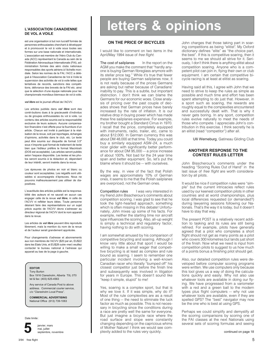# **L'ASSOCIATION CANADIENNE DE VOL A VOILE**

est une organisation à but non lucratif formée de personnes enthousiastes cherchant à développer et à promouvoir le vol à voile sous toutes ses formes sur une base nationale et internationale. L'association est membre de l'Aéro Club du Canada (ACC) représentant le Canada au sein de la Fédération Aéronautique Internationale (FAI), administration formée des aéro clubs nationaux responsables des sports aériens à l'échelle mondiale. Selon les normes de la FAI, l'ACC a délégué à l'Association Canadienne de Vol à Voile la supervision des activités de vol à voile telles que tentatives de records, sanctions des compétitions, délivrance des brevets de la FAI etc. ainsi que la sélection d'une équipe nationale pour les championnats mondiaux biennaux de vol à voile.

#### *vol libre* est le journal officiel de l'ACVV.

Les articles publiés dans *vol libre* sont des contri-butions dues à la gracieuseté d'individus ou de groupes enthousiastes du vol à voile. Le contenu des articles soumis est la responsabilité exclusive de leurs auteurs. Aucune compensation financière n'est offerte pour la fourniture d'un article. Chacun est invité à participer à la réalisation de la revue, soit par reportages, échanges d'opinions, activités dans le club, etc. Le texte peut être soumis sur disquette de format 3.5" sous n'importe quel format de traitement de texte bien que l'éditeur préfère le format Macintosh (DOS est acceptable). Les articles seront publiés selon l'espace disponible. Les textes et les photos seront soumis à la rédaction et, dépendant de leur intérêt, seront insérés dans la revue.

Les épreuves de photos en noir et blanc ou couleur sont acceptables. Les négatifs sont utilisables si accompagnés d'épreuves. Nous ne pouvons malheureusement pas utiliser de diapositives.

L'exactitude des articles publiés est la responsabilité des auteurs et ne saurait en aucun cas engager celle de la revue *vol libre*, ni celle de l'ACVV ni refléter leurs idées. Toute personne désirant faire des représentations sur un sujet précis auprès de l'ACVV devra s'adresser au directeur régional de l'ACVV dont le nom apparait dans la revue.

Les articles de *vol libre* peuvent être reproduits librement, mais la mention du nom de la revue et de l'auteur serait grandement appréciée.

Pour changements d'adresse et abonnements aux non membres de l'ACVV (\$20 par an, EU\$22 dans les Etats Unis, et EU\$28 outre–mer) veuillez contacter le bureau national à l'adresse qui apparait au bas de la page à gauche.

# **EDITOR**

Tony Burton Box 1916 Claresholm, Alberta T0L 0T0 tel & fax: (403) 625-4563

Any service of Canada Post to above address. Commercial courier service, c/o "Claresholm Local Press".

**COMMERCIAL ADVERTISING** National Office (613) 739-1063

Date limite:



janvier, mars mai, juillet **5** septembre, novembre

# **letters & opinions**

# **ON THE PRICE OF BICYCLES**

I would like to comment on two items in the April/May 1994 issue of free flight.

The cost of sailplanes In the report on the AGM you make the comment that "hardly anyone is buying German fibreglass anymore with its stellar price tag." While it's true that fewer people are buying German sailplanes now, it is not really because of the prices Germans are asking but rather because of Canadians' inability to pay. This is a subtle, but important distinction. I don't think we can blame the Germans for our economic woes. Close analysis of pricing over the past couple of decades shows that German prices have barely increased by the rate of inflation. It is our relative drop in buying power which has made these fine sailplanes expensive. For example, my brother bought a Standard Cirrus in 1970. I recall that the price, completely equipped with instruments, radio, trailer, etc, came to about \$12,000. In German currency this was about DM 48,000 at that time. Today you could buy a similarly equipped ASW–24, a much nicer glider with significantly better performance for about DM 95,000 — a price increase of about 100%. Not bad for the 24 year time span and better equipment. So, let's put the blame where it should be — with ourselves.

By the way, in view of the fact that Polish wages are approximately 10% of German ones, it seems to me that the Polish sailplanes are overpriced, not the German ones.

Competition rules I was very interested in my friend John Bisscheroux's comments about competition scoring. I was glad to see that he took the light–hearted approach, something which is often missing in this debate! Unfortunately, John mixes up some of his facts. For example, neither the starting time nor aircraft type influences the scoring. Also, all–up weight is simply a technical and regulatory factor, having nothing to do with scoring.

I am somewhat amused by his comparison of competitive bicycling and soaring. Although I know very little about that sport I would be willing to make a small wager that competitive bicycling is at least as complex and rule bound as soaring. I seem to remember one particular incident involving a well–known Canadian racer who literally "bumped off" his closest competitor just before the finish line and subsequently was involved in litigation for years in Europe. This doesn't sound like "keep it simple, stupid" to me!

Yes, soaring is a complex sport, but that is why we love it. If it was simple, why do it? Most of the rule complexities are as a result of one thing — the need to eliminate the luck factor as much as possible. This is not necessary in bicycling since the conditions during a race are pretty well the same for everyone. But just imagine a bicycle race where the road surface and slope were constantly changing depending on the capricious whims of Mother Nature! I think we would see complexity added to the rules very quickly.

John charges that those taking part in soaring competitions as being "elitist". My Oxford dictionary defines "elite" as "the choice part, the best". If this is competitive soaring, then it seems to me we should all strive for it. Seriously, I don't think there is anything elitist about competition soaring. Anyone who is a competent pilot can join in, flying their own or club equipment. I am certain that competitive bicycle racing is at least at elitist as soaring.

Having said all this, I agree with John that we need to strive to keep the rules as simple as possible and much time and effort has been spent attempting to do just that. However, in a sport such as soaring, the rewards are roughly equal to the complexities encountered and successfully dealt with. That is why it never gets boring. In any sport, competition rules evolve naturally to meet the needs of those who compete. I appreciate John's contribution in this exercise. I think secretly he is an elitist (read "competitor") after all.

Ulli Werneburg, Gatineau Gliding Club

# **ANOTHER RESPONSE TO THE CONTEST RULES LETTER**

John Bisscheroux's comments under the heading "Scoring Rules Out of Hand" in the last issue of free flight are worth consideration by all pilots.

It would be nice if competition rules were "simple" but the current intricacies reflect rules used by our keenest competition pilots in other countries and at world championships, plus local differences requested (or demanded?) during lawyering sessions following our Nationals. That's the way it is today, but it doesn't have to stay that way.

The present POST is a relatively recent addition to tasking and its rules are still being refined. For example, pilots have generally agreed that a pilot who completes a short flight should not get as many points as a pilot who covers 300 kilometres but lands just short of the finish. Now what we need is input from competition pilots to suggest to us how much of a points bonus a finishing pilot should get.

Also, our detailed competition rules were developed before computer scoring programs were written. We use computers only because this tool gives us a way of doing the calculations quickly and easily. Why not also use whatever tools are available in doing our flying. We have progressed from a variometer with a red and a green ball to the modern types plus flight computers — why not use whatever tools are available, even if they are spelled GPS? The "best" navigator may now be the one who is best at using GPS.

Perhaps we could simplify and demystify all the scoring comparisons by scoring one of the FAI classes at the next Nationals using several sets of scoring formulas and seeing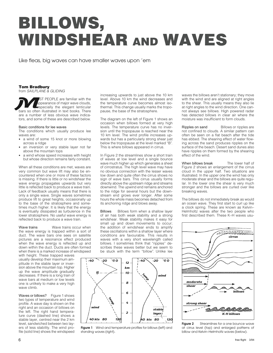# **BILLOWS, WINDSHEAR AND WAVES**

Like fleas, big waves can have smaller waves upon 'em

# **Tom Bradbury**

from SAILPLANE & GLIDING

ST PEOPLE are familiar with the appearance of major wave clouds, especially the elegant lenticular bars so often illustrated in text books. There is, the dependence of major wave clouds,<br>bars so often illustrated in text books. There are a number of less obvious wave indicators, and some of these are described below.

## Basic conditions for lee waves

The conditions which usually produce lee waves are:

- a wind of some 15 knot or more blowing across a ridge
- an inversion or very stable layer not far above the mountain tops
- a wind whose speed increases with height but whose direction remains fairly constant.

When all these conditions are met, waves are very common but wave lift may also be encountered when one or more of these factors is missing. If there is little or no windshear the wave energy propagates upwards but very little is reflected back to produce a wave train. Lack of feedback usually means that there is only a single wave. Single waves sometimes produce lift to great heights, occasionally up to the base of the stratosphere and sometimes much higher. It is likely that the energy is eventually dissipated as turbulence in the lower stratosphere. No useful wave energy is reflected back to produce a wave train.

Wave trains Wave trains occur when the wave energy is trapped within a sort of duct. The wave bars one sees on satellite pictures are a resonance effect produced when the wave energy is reflected up and down within the duct. Ducts are often formed when there is a marked increase of windspeed

with height. These trapped waves usually develop their maximum amplitude in the stable layer or inversion above the mountain top. Higher up the wave amplitude gradually decreases. If there is a long train of wave bars at medium or low levels one is unlikely to make a very high wave climb.

Waves or billows? Figure 1 shows two types of temperature and wind profile. A wave day is shown on the right and an occasion of billows on the left. The right hand temperature curve (dashed line) shows a stable layer, centred near the 2 km level, sandwiched between two layers of less stability. The wind profile (solid line) shows the windspeed increasing upwards to just above the 10 km level. Above 10 km the wind decreases and the temperature curve becomes almost isothermal. This change usually marks the tropopause, the base of the stratosphere.

The diagram on the left of Figure 1 shows an occasion when billows formed at very high levels. The temperature curve has no inversion until the tropopause is reached near the 10 km level. The wind profile increases upwards but has a particularly strong shear just below the tropopause at the level marked "B". This is where billows appeared in cirrus.

In Figure 2 the streamlines show a short train of waves at low level and a single bounce wave much higher up which generates a sheet of cirrostratus. The high level wave may have no obvious connection with the lesser waves low down and quite often the cirrus shows no sign of wave bars. This cirrus usually forms directly above the upstream ridge and streams downwind. The upwind end remains anchored to the ridge for several hours but the downstream end grows ever longer. After some hours the whole mass becomes detached from its anchoring ridge and blows away.

Billows Billows form when a shallow layer of air has both weak stability and a strong windshear. Weak stability makes it easy for small up and down movements to occur; the addition of windshear ends to amplify these oscillations within a shallow layer where conditions are favourable. This results in waves with a very short wavelength called billows. I sometimes think that "ripples" describes these waves better but we seem to be stuck with the term "billow". Unlike lee



**Figure 1** Wind and temperature profiles for billows (left) and standing waves (right).

waves the billows aren't stationary; they move with the wind and are aligned at right angles to the shear. This usually means they also lie at right angles to the wind direction. One cannot always see billows. High powered radar has detected billows in clear air where the moisture was insufficient to form clouds.

Ripples on sand Billows or ripples are not confined to clouds. A similar pattern can often be seen on a flat beach after the tide has ebbed. The shearing effect of water flowing across the sand produces ripples on the surface of the beach. Desert sand dunes also have ripples on them formed by the shearing effect of the wind.

When billows break The lower half of Figure 2 shows an enlargement of the cirrus cloud in the upper half. Two situations are illustrated. In the upper one the wind has only moderate shear and the billows are quite regular. In the lower one the shear is very much stronger and the billows are curled over like breaking waves.

The billows do not immediately break as would an ocean wave. They first start to curl up like a clock spring. These are known as Kelvin– Helmholtz waves after the two people who first described them. These K–H waves usu-



**Figure 2** Streamlines for a one bounce wave at cirrus level (top) and enlarged patterns of billow and Kelvin–Helmholtz waves (below).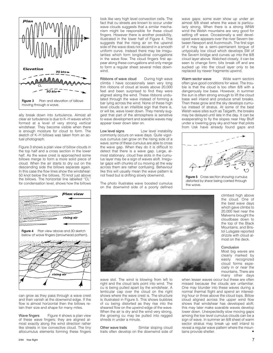

ally break down into turbulence. Almost all clear air turbulence is due to K–H waves which formed at a level of very strong vertical windshear. They become visible when there is enough moisture for cloud to form. The sketch of K–H billows was taken from an actual photograph.

Figure 3 shows a plan view of billow clouds in the top half and a cross section in the lower half. As the wave crest is approached some billows merge to form a more solid piece of cloud. When the air starts to dry out on the descending side the billows separate again. In this case the flow lines show the windshear: 50 knot below the billows, 70 knot just above the billows. The horizontal line labelled "CL" for condensation level, shows how the billows



can grow as they pass through a wave crest and then vanish at the downwind edge. If the flow is almost horizontal then the billows retain their size and shape for many miles.

Wave fingers Figure 4 shows a plan view of these wave fingers; they are aligned almost exactly along the wind direction rather like streets in low convective cloud. The tiny altocumulus elements forming these fingers look like very high level convection cells. The fact that cu streets are known to occur under wave clouds suggests that a similar mechanism might be responsible for these cloud fingers. However there is another possibility, illustrated in the lower half of Figure 4. This suggests that the rising air on the upwind side of the wave does not ascend in a smooth uniform curve. Instead there may be irregularities which form longitudinal corrugations in the wave flow. The cloud fingers first appear along these corrugations and only merge to form a regular sheet several miles downwind.

Ribbons of wave cloud During high wave climbs I have occasionally seen very long thin ribbons of cloud at levels above 20,000 feet and been surprised to find they were aligned along the wind. These ribbons undulated through the wave instead of forming a bar lying across the wind. None of these high level clouds is an infallible sign that there is, or will be, wave lower down. They merely suggest that part of the atmosphere is sensitive to wave development and soarable waves may appear lower down later on.

Low level signs Low level instability commonly occurs on wave days. Quite vigorous cumulus can grow on the rising side of a wave; some of these cumulus are able to cross the wave gap. When they do it is difficult to detect that there is a wave gap. Large, almost stationary, cloud free slots in the cumulus layer may be a sign of waves aloft. Irregular gaps with chunks of cu moving all the way across them are rather confusing. Behaviour like this will usually mean the wave pattern is not fixed but is drifting slowly downwind.

The photo illustrates wave boosted cumulus on the downwind side of a poorly defined

wave gaps; some even show up under an almost 8/8 sheet where the wave is particularly strong. When there is a strong WNW wind the Welsh mountains are very good for setting off wave. Occasionally a well developed wave appears over the river Severn between Newport and Avonmouth. The first sign of it may be a semi–permanent tongue of untypically low cloud which develops SW of the Severn bridge and curves up into the 8/8 cloud layer above. Watched closely, it can be seen to change form; bits break off and are sucked up into the cloud layer only to be replaced by newer fragments upwind.

Warm sector wave Wide warm sectors often give good conditions for wave. The trouble is that the cloud is too often 8/8 with a dangerously low base. However, in summer the sun is often strong enough to lift the cloud base well inland and produce small breaks. Then these grow and the sky develops cumulus instead of stratus. At some of the best Welsh wave sites such as Talgarth, the breaks may be delayed until late in the day. It can be exasperating to fly the slopes near Hay Bluff under a lowering grey sky and hear that pilots from Usk have already found gaps and



distorted by shear being carried through the wave.



wave slot. The wind is blowing from left to right and the cloud tails point into wind. The cu is being pulled apart by the windshear. A lenticular cap over the cloud on the right shows where the wave crest is. The structure is illustrated in Figure 5. This shows bubbles of cu being distorted as they rise into the sheared flow on the upwind edge of the wave. When the air is dry and the wind very strong, the growing cu may be pulled into ragged shreds in under a minute.

Other wave trails Similar sloping cloud trails often develop on the downwind side of

climbed high above the cloud. One of the best wave days which gave climbs to 20,000 feet near the Malverns brought the cloudbase down to the top of the Black Mountains, and Bristol Lulsgate reported drizzle with cloud almost on the deck.

# Conclusion

Most big waves are clearly marked by easily recognized cloud forms especially in or near the mountains. There are many other days

when lesser waves occur but these are often missed because the clouds are unfamiliar. One may blunder into these waves during a normal thermal flight and spend an interesting hour or three above the cloud tops. Billow cloud aligned across the upper wind flow shows that windshear has developed aloft; this may later make soarable waves develop lower down. Unexpectedly slow moving gaps among the low level cumulus clouds can be a sign of wave. In summer an 8/8 sheet of warm sector stratus may break up well inland to reveal a regular wave pattern where the mountains provide shelter.

3/94 free flight 7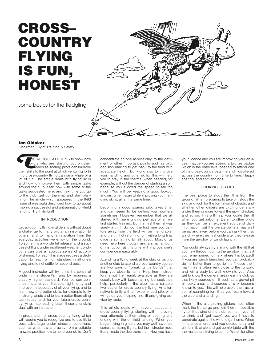# **CROSS– COUNTRY FLYING IS FUN, HONEST**

some basics for the fledgling



# **Ian Oldaker**

Chairman, Flight Training & Safety

**IS ARTICLE ATTEMPTS to show how** pilots who are starting out on their  $\blacksquare$  areers as soaring pilots can improve Chairman, Flight Training & Sarety<br>
Sarety<br>
Saret Schow how<br>
Silots who are starting out on their<br>
There is as soaring pilots can improve<br>
their skills to the point at which venturing forth into cross–country flying can be a whale of a lot of fun. The article deals with flying skills and how to improve them with simple tasks around the club. Start now with some of the tasks suggested here, and next time you go to the club, get out the map and start planning! The article which appeared in the 6/93 issue of free flight described how to go about making a successful and untraumatic off–field landing. Try it, its fun!!

# INTRODUCTION

Cross–country flying in gliders is without doubt a challenge to many pilots, an inspiration to others, and to many a relaxation from the everyday activities we enjoy on the ground. To some it is a wonderful release, and a successful flight under indifferent weather conditions can give a fabulous sense of accomplishment. To reach this stage requires a dedication to reach a high standard in all one's flying and to not settle for second best.

A good instructor will try to instil a sense of pride in the student's flying by requiring a steadily higher standard. You too can continue this after your first solo flight, to try and improve the accuracy of all your flying, and to learn new and better skills, for example to fly in strong winds and to learn better thermaling techniques, and, for your future cross–country flying, map reading. Learn these latter skills dual with an instructor.

In preparation for cross–country flying which will require you to recognize and to use lift to best advantage under stressful conditions, such as when low and away from a suitable runway, practise now to hone your skills. Don't concentrate on one aspect only, to the detriment of other important points such as pilot decision making to get back to the field with adequate height, but work also to improve your handling and other skills. This will help you to stay in the thermal when needed, for example, without the danger of starting a spin because you allowed the speed to fall too much. You will be keeping a good lookout and instrument scan while improving your handling skills, all at the same time.

Becoming a good soaring pilot takes time, and can seem to be getting you nowhere sometimes. However, remember that we all started with mere gliding perhaps when we first started training, but that first thermal was surely a thrill! So too, the first time you venture away from the field will be memorable, and the thrill of returning to it with a long final glide is something to talk about. Most of us need help here though, and a small amount of instruction at this time will improve one's confidence measurably.

Attending a flying week at the club or visiting another club to attend a cross–country course are two ways of "breaking the bonds" that keep you close to home. Help from instructors is not that readily available as they are usually busy with basic training, but seek their help, particularly if the club has a suitable two–seater for cross–country flying. An alternative is to fly with an experienced pilot who will guide you, helping find lift and giving advice by radio.

This article deals with several aspects of cross–country flying, starting with improving your attempts at thermaling or soaring and ending with the off–field landing. When you began flying in gliders you may well have had some thermaling flights, but the instructor most likely made the decisions then. Now you have

your licence and you are improving your abilities; maybe you are eyeing a Bronze badge which is the entry level needed to attend one of the cross–country beginners' clinics offered across the country from time to time. Happy soaring, and soft landings!

# LOOKING FOR LIFT

The best place to study the lift is from the ground! When preparing to take off, study the sky, and look for the formation of clouds, and whether other gliders are circling generally under them or more toward the upwind edge, and so on. This will help you locate the lift when you get airborne. Listen to other pilots as they can be an excellent source of daily information, but the private owners may well be up and away before you can ask them, so watch where they first circle after they release from the aerotow or winch launch.

You could always try starting with the lift that you flew through during the aerotow, that is if you remembered to mark where it is located! If you are winch launched you can probably do no better than to go to the "house thermal". This is often very close to the runway, and will already be well known to you! Also get to know the general area near the club so that likely sources of lift such as a gravel pit or rocky area, and sources of sink become known to you. This will help avoid the frustration of searching for lift as you return toward the club and a landing.

When in the air, circling gliders most often mark the lift, so go and join them. If possible fly to lift upwind of the club, so that if you fail to climb and "get away", you won't have to penetrate against the wind to get home. When lift is encountered and you decide to try and climb in it, circle and get comfortable with the thermal before trying to centre. Watch for other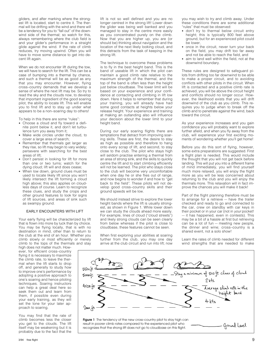gliders, and after marking where the strongest lift is located, start to centre it. The thermal will be drifting with the wind and there will be a tendency for you to "fall out" of the downwind side of the thermal; so watch for this, always remembering where the club field is and your glider's performance in a straight glide against the wind. If the rate of climb reduces, try moving upwind. Often you will have to move some distance to get into decent lift again.

When we do not encounter lift during the tow, we will have to search for the lift. This can be a case of bumping into a thermal by chance, and such a thermal will be as good as any that you may encounter. However, flying cross–country demands that we develop a sense of where the next lift may be. So try to read the sky and the clouds now, to develop that important ingredient of the good soaring pilot, the ability to locate lift. This will enable you to find lift and to stay up under what appears to be a non–soaring day to others!

To help in this there are some "rules":

- Choose a cloud and fly toward a definite point below it, and don't let turbulence turn you away from it;
- Make wide circles under the cloud, to cover a large area of search;
- Remember that thermals get larger as they rise, so lift may begin to vary widely; persevere with searching for the best areas of lift;
- Don't persist in looking for lift for more than one or two turns; watch for the dying cloud; lift will and does cease;
- When low down, ground clues must be used to locate likely lift since you won't likely intersect the lift forming a cloud high above; this also applies on cloudless days of course. Learn to recognize these clues, and study the crops and other ground features to look for signs of lift sources, and areas of sink such as swampy ground.

### EARLY ENCOUNTERS WITH LIFT

Your early flying will be characterized by lift that is flown into more by luck than by choice. You may be flying locally, that is with no destination in mind, other than to return to the club at the end of an hour. Whether you climb slowly or most efficiently or merely climb to the tops of the thermals and stay

high does not matter much. However, for efficient cross–country flying it is necessary to maximize the climb rate, to leave the thermal when the lift starts to drop off, and generally to study how to improve one's performance by adopting a positive approach to one's soaring and hence piloting techniques. Soaring instructors can help a great deal here so seek them out and learn from them, if possible even during your early training, as they will set the tone for your later approach to soaring.

You may find that the rate of climb becomes less the closer you get to the clouds. The lift itself may be weakening but it is probably due to the fact that the

lift is not so well defined and you are no longer centred in the strong lift! Lower down the glider was being well banked and you managed to stay in the centre more easily as you concentrated purely on the climb. Now that you are higher up, you are (or should be) thinking about navigation and the location of the next likely looking cloud, and this detracts from the task of keeping in the strong lift.

The technique to overcome these problems is to fly in the best height band. This is the band of useable lift in which the pilot can maintain a good climb rate relative to the maximum strength of the thermal, and the top of the band is often less than the height just below cloudbase. The lower limit will be based on your experience and your confidence at contacting and climbing in lift low down. Here it helps to remember that during your training, you will already have had some good contacts at heights below your release height. Your experience and training at making an outlanding also will influence your decision about the lower limit to your height band.

During our early soaring flights there are temptations that detract from improving soaring skills. These are first, the desire to stay as high as possible and therefore to hang onto every scrap of lift, and second, to stay close to the club. The pilot who stays high will seldom practise entering a thermal from an area of strong sink, and the skills to quickly centre the lift and to start climbing efficiently will not be learned. The pilot who stays close to the club will become very uncomfortable when one day he or she flies out of range, and now begins to wonder if and how to "get back to the field". These pilots will not develop good cross–country skills and their ground speeds will be low.

We should instead strive to explore the lower height bands where the lift is usually strongest, as shown in Figure 1. While lower down we can study the clouds ahead more easily. For example, lines of cloud ("cloud streets") and likely strong clouds can be seen clearly from below whereas if the pilot is close to cloudbase, these features cannot be seen.

When first exploring your abilities at soaring further from the club, you may one day arrive at the club circuit and run into lift; now you may wish to try and climb away. Under these conditions there are some additional "rules" that must be observed:

- don't try to thermal below circuit entry height; this is typically 800 feet above ground, but for an experienced pilot could be lower,
- once in the circuit, never turn your back on the field, you may drift too far away and not be able to reach the field, and
- aim to land well within the field, not at the downwind boundary.

These rules are designed to safeguard pilots from drifting too far downwind to be able to make a proper circuit, and to avoiding conflicts with other pilots in the circuit. When lift is contacted and a positive climb rate is achieved, you will be above the circuit height and conflicts should no longer occur. However, the likelihood exists that you will drift downwind of the club as you climb. This requires you to judge when to break off the climb and to penetrate against the wind, back toward the circuit.

As your experience increases and you gain confidence you will probably want to explore further afield, and when you fly away from the club, will experience your first exciting moments of wondering whether you'll get home!

Before you do this sort of flying, however, some extra preparations are suggested. First a flight plan is needed. This would include the thought that you will not get back before landing. This will put you into a different frame of mind immediately, you will find yourself much more relaxed, you will enjoy the flight more as you will be less concerned about returning to the club and you will enjoy the thermals more. This relaxation will in fact improve the chances you will make it back!

Part of the flight planning therefore must be to arrange for a retrieve — have the trailer checked and ready to go and connected to the car, crew on standby with car keys in their pocket or in your car (not in your pocket! — it has happened, even in contests). This may be a bit of a hassle at first but retrieving can be a lot of fun — meeting new people, the dinner and wine; cross–country is a shared event, not a solo show!

Learn the rates of climb needed for different wind strengths that are needed to make

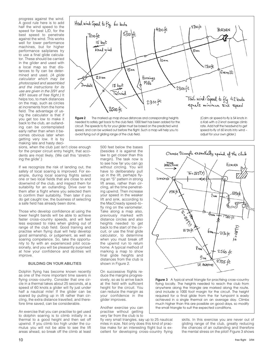progress against the wind. A good rule here is to add half the wind speed to the speed for best L/D, for the best speed to penetrate against the wind. This works well for lower performance machines, but for higher performance sailplanes try to use a final glide calculator. These should be carried in the glider and used with a local map so that distances to fly can be determined and used. (A glide calculator which may be photocopied and assembled and the instructions for its use are given in the 3/91 and 4/91 issues of free flight.) It helps too, to mark distances on the map, such as circles at increments from the home field. The advantage of using the calculator is that if you get too low to make it back to the club, an outlanding can be contemplated early rather than when it becomes obvious later when getting very low. It is by making late and hasty deci-

sions, when the club just isn't close enough for the proper circuit entry height, that accidents are most likely. (We call this "stretching the glide".)

If we recognize the risk of landing out, the safety of local soaring is improved. For example, during local soaring flights select one or two local fields that are close to and downwind of the club, and inspect them for suitability for an outlanding. Drive over to them after a flight where you selected them to confirm their suitability. Then later if you do get caught low, the business of selecting a safe field has already been done.

Those who develop confidence at using the lower height bands will be able to achieve faster cross–country speeds, and will feel less exposed to risks when gliding out of range of the club field. Good training and practise when flying dual will help develop good airmanship, or judgement, as well as soaring competence. So, take the opportunity to fly with an experienced pilot occasionally, and you will be pleasantly surprised at how your confidence and abilities will improve.

### BUILDING ON YOUR ABILITIES

Dolphin flying has become known recently as one of the more important time savers in flying cross–country. Consider that one circle in a thermal takes about 25 seconds, at a speed of 60 knots a glider will fly just under half a nautical mile! If the glider can be soared by pulling up in lift rather than circling, the extra distance travelled, and therefore time saved, can be considerable.

An exercise that you can practise to get used to dolphin soaring is to climb initially in a thermal to a good height and then set off upwind. If you climb too high under the cumulus you will not be able to see the lift areas ahead, so break off the climb at least

500 feet below the bases (besides it is against the law to get closer than this margin). The task now is to see how far you can go without circling. You will have to deliberately pull up in the lift, perhaps flying an "S" pattern in strong lift areas, rather than circling, all the time penetrating upwind. Then increase your speed in the weaker lift and sink, according to the MacCready speed–to– fly ring on the variometer. Take along a map also, previously marked with distance circles and also heights needed to get back to the start of the circuit, or use the final glide calculator, to determine when you must break off the upwind run to return home. A typical method of marking a map to show final glide heights and distances from the club is shown in Figure 2.

On successive flights reduce the margins progressively, so as to arrive back at the field with sufficient height for the circuit. You can reduce the margin as your confidence in the glider improves.

Another exercise you can practise without getting very far from the club is to

fly very small triangles, say up to 25 nautical miles in size. Not only does this kind of practise make for an interesting flight but is excellent for developing cross–country flying



**Figure 3** A typical small triangle for practising cross–country flying locally. The heights needed to reach the club from anywhere along the triangle are marked along the route, and include a 1000 foot margin for the circuit. The height required for a final glide from the far turnpoint is easily achieved in a single thermal on an average day. Climbs much higher than this are possible on good days, so modify the small triangle to suit the expected conditions.

> skills. In this exercise you are never out of gliding range of the club, greatly reducing the chances of an outlanding and therefore the mental stress on the pilot! Figure 3 shows



**Figure 2** The marked up map shows distances and corresponding heights needed to safely get back to the club field. 1000 feet has been added for the circuit. The speeds to fly for your glider must be based on the predicted wind speed, and can be worked out before the flight. Such a map will help you to avoid flying out of gliding range of the club field.

[Calm air speed-to-fly is 54 knots in a Ka6 with a 2 knot average climb rate. Add half the headwind to get speed-to-fly of 60 knots into wind – adjust for your own glider.]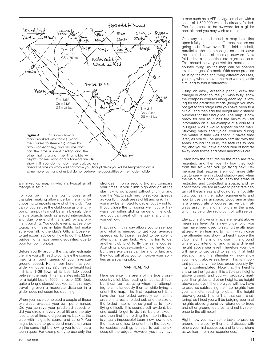

a marked up map in which a typical small triangle is set out.

For your own first attempts, choose small triangles, making allowance for the wind by choosing turnpoints upwind of the club. You can of course use the clubhouse as one turnpoint. Turnpoints must be small, easily identifiable objects such as a road intersection, a bridge (one end if it's large), or a prominent building. You could even practise photographing these in later flights but make sure you talk to the club's Official Observer to get expert advice on how to do this. Many badge flights have been disqualified due to poor turnpoint photos.

Before you fly around the triangle, estimate the time you will need to complete the course, making a rough guess of your average ground speed. Remember here that your glider will cover say 22 times the height lost if it is a 1–26 flown at its best L/D speed between thermals. This translates into 22 km for a height loss of 1000 metres or 3281 feet, quite a long distance! Looked at in this way, travelling even a moderate distance in a glider does not seem too daunting.

When you have completed a couple of these exercises, evaluate your own performance. Did you achieve your predicted speed, or did you circle in every bit of lift and thereby lose a lot of time, did you arrive back at the club with height to spare, and so on? You might be able to go around more than once on the same flight, allowing you to compare techniques. For example, try to use only the

3/94 free flight 11

strongest lift on a second try, and compare your times. If you climb high enough at the start, try to go around without circling, and use the MacCready ring to set your speeds as you fly through areas of lift and sink. In lift you may be tempted to circle, but try not to! If you chose the turnpoints well, you will always be within gliding range of the club, and you can break off the task at any time if you get low.

Practising in this way allows you to see how and what is needed to get your average speeds up to those needed to be able to attempt a larger task. And it's fun to get another club pilot to fly the same course. Attending a cross–country clinic helps too, but these exercises can be a lot of fun, and they too will allow you to improve your abilities as a soaring pilot.

### MAP READING

Here we enter the arena of the true cross– country pilot. Map reading is not that difficult but it can be frustrating when first attempting to simultaneously thermal while trying to orient the map. The first requirement is to have the map folded correctly so that the area of interest is folded out, and the size of the folded map is not so great as to make flying difficult. This sounds self–evident, but one could forget to do this before takeoff, and then find that folding the map in the air is virtually impossible! Learn now how to fold the map, and how to orient it in the cockpit for easiest reading. It helps to cut the excess off the edges. However you may have

a map such as a VFR navigation chart with a scale of 1:500,000 which is already folded. The folds tend to be awkward for a glider cockpit, and you may wish to redo it!

One way to handle such a map is to first open it fully, then to cut off areas that are not going to be flown over. Then fold it in half, parallel to the bottom edge, so as to leave the desired face of the map outward. Now fold it like a concertina into eight sections. This should serve you well for most cross– country flying, as the map can be opened like the pages of a book. With some practise at using the map and flying different courses, you may wish to cover the map with a plastic film, and to fold it differently.

Using an easily erasable pencil, draw the triangle or other course you wish to fly, show the compass courses along each leg, allowing for the predicted winds (though you may not get to this stage until you have been to a clinic), and then add the height and distance numbers for the final glide. The map is now ready for you as it has the minimum vital information on it. An example of a course is in Figure 4 as it would appear on the map. Studying maps and typical courses during the winter is time well spent. It saves time later, as you will be already familiar with the areas around the club, the features to look for, and you will have a good idea of how far away local towns and other landmarks are.

Learn how the features on the map are represented, and then identify how they look from the air when you go flying next. Remember that features are much more difficult to see when in cloud shadow and when the visibility is poor. Also learn the areas of restricted and controlled airspace, and respect them. We are allowed to penetrate certain of these areas and doing so is not difficult, but learn the radio requirements and how to use this airspace. Good airmanship is a prerequisite of course, as we can't always assume the other pilots in the area, who may be under radio control, will see us.

Elevations shown on maps are height above mean sea level. As a new glider pilot you may have been used to setting the altimeter at zero when learning to fly, in which case the altimeter was showing height above the club field. This is of no use if the ground where you intend to land is at a different height above sea level! Therefore you now will have to get used to setting it at field elevation, and the altimeter will now show your height above sea level. This is important particularly if serious cross–country flying is contemplated. Note that the heights shown on the figures in this article are heights above ground, and you will probably mark your final glides and other heights, as height above sea level! Therefore you will now have to practise subtracting the map heights from your altimeter reading to obtain the height above ground. This isn't all that earth shattering, as I trust you will be judging your final heights above ground by reference to trees and other ground features, and not by reference to the altimeter!

Right, now you have some tasks to practise around the club. Try them, and discuss with others your first successes and failures; share as we learn from our experiences.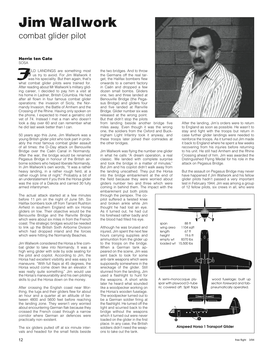# **Jim Wallwork**

combat glider pilot

#### **Herrie ten Cate** SOSA

**ELD LANDINGS are something most** of us try to avoid. For Jim Wallwork it was his speciality. But then again, that's what combat glider pilots were trained for. After reading about Mr Wallwork's military gliding career, I decided to pay him a visit at his home in Ladner, British Columbia. He had after all flown in four famous combat glider operations: the invasion of Sicily, the Normandy Invasion, the Battle of Arnhem and the Crossing of the Rhine. Having only spoken on the phone, I expected to meet a geriatric old vet of 74. Instead I met a man who doesn't look a day over 60 and can remember what he did last week better than I can. sosa<br>J<sub>oi</sub>

50 years ago this June, Jim Wallwork was a young British glider pilot who took part in probably the most famous combat glider assault of all times: the D–Day attack on Benouville Bridge over the Caën Canal in Normandy. After the war, the bridge would be renamed Pegasus Bridge in honour of the British airborne soldiers who helped liberate Normandy. In Jim Wallwork's own words, "It was a rather heavy landing, in a rather rough field, at a rather rough time of night." Probably a bit of an understatement if you think the Horsa glider was the size of a Dakota and carried 30 fully armed infantrymen.

The actual attack started at a few minutes before 11 pm on the night of June 5th. Six Halifax bombers took off from Tarrant Rushton Airfield in southern England with six Horsa gliders on tow. Their objective would be the Benouville Bridge and the Ranville Bridge which were about six miles in from the French coast. The strategic bridges would be needed to link up the British Sixth Airborne Division which had dropped inland and the forces which were hitting the Normandy Beaches.

Jim Wallwork considered the Horsa a fine combat glider to take into Normandy. It was a high wing glider with side by side seating for the pilot and copilot. According to Jim, the Horsa had excellent visibility and was easy to maneuvre. "With full flaps at 45 degrees, the Horsa would come down like an elevator. It was really quite something." Jim would use the Horsa's maneuvrability and his own piloting skills to put the Horsa down on the money.

After crossing the English coast near Worthing, the tugs and their gliders flew for about an hour and a quarter at an altitude of between 4800 and 5600 feet before reaching the landing zone. They weren't very worried about encountering German flak because they crossed the French coast through a narrow corridor where German air defences were practically non–existent.

The six gliders pulled off at six minute intervals and headed for the small fields beside the two bridges. And to throw the Germans off the real target, the Halifax bombers flew onwards to a cement factory in Caën and dropped a few dozen small bombs. Gliders one, two and three landed at Benouville Bridge (the Pegasus Bridge) and gliders four and five landed at Ranville Bridge. Glider number six was released at the wrong point. But that didn't stop the pilots

from landing beside another bridge five miles away. Even though it was the wrong one, the soldiers from the Oxford and Buckingham Light Infantry took it anyway, and these troops later joined their comrades at the other bridges.

Jim Wallwork was flying the number one glider in what he calls "A dream operation, a real classic. We landed with complete surprise and took the bridge in a matter of minutes." But Jim and his copilot didn't walk away from the landing unscathed. They put the Horsa into the bridge embankment at the end of the field because they were worried about gliders number two and three which were coming in behind them. The impact with the

embankment put both pilots through the perspex. The copilot suffered a twisted knee and broken ankle while Jim thought he had lost an eye. As it turned out, he had cut his forehead rather badly and the blood had filled his eye.

Although he was bruised and injured, Jim spent the next few hours carrying supplies and ammunition from the glider up to the troops on the bridge. When a German tank appeared on the scene, Jim was sent back to look for some anti–tank weapons which were supposedly somewhere in the wreckage of the glider. Still stunned from the landing, Jim used a flashlight to hunt for the weapons. A short while later he heard what sounded like a woodpecker working on the Horsa's wooden fuselage. The woodpecker turned out to be a German soldier firing at the flashlight. He turned off the light and scurried back to the bridge without the weapons which it turned out were never loaded on the glider in the first place. In any case, the British soldiers didn't need the weapons to take out the tank.



After the landing, Jim's orders were to return to England as soon as possible. He wasn't to stay and fight with the troops but return in case further glider landings were needed to reinforce the troops. As it turned out Jim made it back to England where he spent a few weeks recovering from his injuries before returning to his unit. He still had Arnhem and the Rhine Crossing ahead of him. Jim was awarded the Distinguished Flying Medal for his role in the attack on Pegasus Bridge.

But the assault on Pegasus Bridge may never have happened if Jim Wallwork and his fellow glider pilots hadn't passed a very important test in February 1944. Jim was among a group of 12 fellow pilots, six crews in all, who were

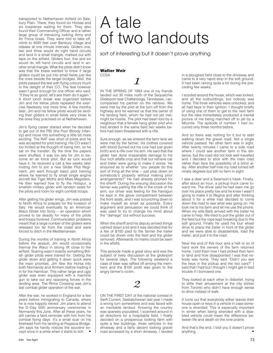transported to Netherhaven Airfield on Salsbury Plain. There, they found six Horsas and six towplanes waiting for them. They also found their Commanding Officer and a rather large group of menacing looking Army and Air Force brass. They were told to take off, climb to 4000 feet over Banbury village and release at one minute intervals. Gliders one, two and three would do right hand circuits and land in a small triangle, marked out with tape on the airfield. Gliders four, five and six would do left hand circuits and land in another small triangle. What the pilots didn't know was that the brass wanted to know if large gliders could be put into small fields just like the ones beside the target bridges. Well, the pilots passed the test with flying colours much to the delight of their CO. The feat however wasn't good enough for one officer who said: "if they're so good, let's see them do it again." A short lunch break was organized before Jim and his fellow pilots repeated the exercise flawlessly one more time. A few months later, Jim and his fellow pilots would be landing their gliders in small fields very close to the ones they practised on at Netherhaven.

Jim's flying career started when he decided to get out of the PBI (the Poor Bloody Infantry) and move into something a little bit more exciting. The RAF was short of pilots and he was accepted for pilot training. His CO wasn't too thrilled at the thought of losing him, so he sat on the transfer. By the time the papers were shuffled, it was too late for Jim to become an air force pilot. But as luck would have it, he received a call a few weeks later inviting him to join a new Glider Pilot Regiment. Jim went through basic pilot training where he learned to fly small single engine aircraft like Tiger Moths and Miles Magisters. He then learned how to fly the Hotspur, a smallish military glider with tandem seats for the pilots and room for eight combat troops.

After getting his glider wings, Jim was posted to North Africa to prepare for the invasion of Italy. He would eventually fly an American Waco Glider into Sicily — an operation which proved to be deadly for many of the pilots and troops involved. Communication problems meant that a large number of the gliders were released too far from the coast and were forced to ditch in the Mediterranean.

During the months of training in North Africa before the assault, Jim would occasionally thermal the Waco in strong lift close to the airfield. Soaring wasn't exactly something British glider pilots were trained for. Getting the glider down and getting it down quick were the main priorities. Jim flew the Horsa into both Normandy and Arnhem before trading it in for the Hamilcar. This rather large and ugly glider was even equipped with a machine gun to take out any opposing forces in the landing area. The Rhine Crossing was Jim's last combat glider operation of the war.

After the war, he worked in England for a few years before immigrating to Canada, where he is now happily retired. Jim plans to attend the D–Day 50th anniversary ceremonies in Normandy this June. After all these years, he still carries a faint reminder with him from his combat flying days. It's a small scar on his forehead from his landing at Pegasus Bridge. Jim says he hardly notices the souvenir except once in a while when it starts to itch.  $\bullet$ 

# A tale of two landouts

sort of interesting but it doesn't prove anything

# **Walter Weir** COSA

*1*

IN THE SPRING OF 1993 one of my friends landed out 30 miles north of the Sequatchie Gliderport near Chattanooga, Tennessee. I accompanied his partner on the retrieve. We were met by the pilot at the turn–off from the highway and he warned us that the owner of his landing field, whom he had not yet met, might be hostile. The pilot had been told by a neighbour that a female hang glider pilot who had landed in the same field two weeks before had been threatened with a rifle.

Sure enough, as we entered the farm lane we were met by the farmer, his clothes covered with blood (turned out his cow had just given birth) and a rifle over his arm. He said that the glider had done irrepairable damage to his four inch alfalfa crop and that our retrieve car and trailer were going to make it worse. He enquired as to whether "you people do this sort of thing all the time — just plop down on somebody's property without making prior arrangements?" He had already phoned for the sheriff. During the ensuing discussion the farmer was patting the rifle in the crook of his arm, our driver was feeling for the handgun he kept in the glove compartment between the front seats, and I was scrunching down to make myself as small as possible. Every argument and persuasion we could think of was used to try to change his mind about the "damage" but without success.

When the sheriff and his deputy arrived things calmed down a bit and it was decided that for a fee of \$100 paid to the farmer the trailer could be driven onto the field and the glider removed. Afterwards no marks could be seen in the alfalfa.

This episode made a great story and was the subject of lively discussion at the gliderport for several days. The following weekend a case of beer was raffled off among the members and the \$100 profit was given to the angry farmer's victim.

# *2*

ON THE FIRST DAY of the national contest in Swift Current, Saskatchewan last year I made a wrong turn somewhere and was faced with an inevitable landout. Knowing the country was sparsely populated, I scanned around in all directions for a hospitable field. I finally decided on a prosperous looking farm with quite a few buildings, three vehicles in the driveway and a fairly decent looking gravel road accessed by a short driveway. I landed

in a ploughed field close to the driveway and came to a very rapid stop in the soft ground. It had been raining quite a bit during the preceding few weeks.

I scouted around the house, which was locked, and all the outbuildings, but nobody was home. The three vehicles were unlocked, and all had keys in their ignition. I thought briefly of using one of them to get to the next farm but the idea immediately produced a mental picture of me being marched off to jail by a Mountie. The episode of number 1 had occurred only three months before.

And so there was nothing for it but to start walking down the gravel road. Not a single vehicle passed. No other farm was in sight. After twenty minutes I came to a side road where I could see another farm in the distance, but the road did not look well travelled and I decided to stick with the main road rather than face the possibility of a blind alley. After another half mile my road turned left ninety degrees but still no farm in sight.

I saw a deer and a Swainson's hawk. Finally, after about an hour, a pickup truck came toward me. The driver said he had seen me go over his place pretty low and he knew I wasn't going to make it to Regina and after thinking about it for a while had decided to come down the road to see what was going on. He took me to his farm and let me use the phone. When my wife Barb arrived with the trailer he came to help. We tried to pull the glider out of the field but the rope kept breaking due to the soft ground. Finally he used his four wheel drive to place the trailer in front of the glider and we were able to disassemble, load the trailer, and pull it to the road.

Near the end of this hour and a half or so of hard work the owners of the farm returned home. I told them how I had picked their farm to land and how disappointed I was that nobody was home. They said "Didn't you see the keys in the pickup and the two cars?" I said that I had but I thought I might get in bad trouble if I borrowed one.

They looked at each other in disbelief, trying to stifle their amusement at the city slicker from Toronto who didn't have enough sense to drive instead of walk.

It turns out that everybody either leaves their house open or keys in a vehicle in case someone is stranded. This is especially important in winter when being stranded with a disabled vehicle could mean the difference between life and death on the lone prairie.

And that's the end. I told you it doesn't prove anything.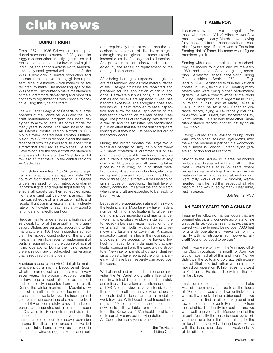# **club news**

# **DOING IT RIGHT**

From 1967 to 1986 Schweizer aircraft produced more than six hundred 2-33 gliders. Its rugged construction, easy flying qualities and reasonable price made it a favourite with gliding clubs and schools across North America. Like many small general aviation aircraft, the 2-33 is now only in limited production and the current alternative training gliders represent large investments which many clubs are reluctant to make. The increasing age of the 2-33 fleet will undoubtedly make maintenance of the aircraft more demanding and more of a concern to organizations who choose to continue using this type of aircraft.

The Air Cadet League of Canada is a large operator of the Schweizer 2-33 and their aircraft maintenance program has been designed to allow for safe use of this model for many years to come. The main base for the Air Cadets' central region aircraft is CFS Mountainview located near Trenton, Ontario. Major Ernie Sutton is responsible for the maintenance of both the gliders and Bellanca Scout aircraft that are used as towplanes. He and Dave Wood are the two aircraft maintenance engineers who look after the 15 gliders and 8 tow aircraft that make up the central region's Air Cadet fleet.

Their gliders vary from 4 to 26 years of age. Each ship accumulates approximately 200 hours of flight time each season. Air Cadet gliders are used for both introductory/familiarization flights and regular flight training. To ensure all cadets get their scheduled rides, flights are brief but very well planned. The rigorous schedule of familiarization flights and regular flight training results in a fairly steady rate of flight cycles for each aircraft — about 5 landings and takeoffs per hour.

Regular maintenance ensures a high rate of serviceability for all the aircraft in the organization. Gliders are serviced according to the manufacturer's 100 hour inspection schedule. The rugged construction of the aircraft means that very little repair or replacement of parts is required during the course of normal flying operations. During the flying season there is seldom any unscheduled maintenance that is required on the gliders.

A unique aspect of the Air Cadet glider maintenance program is the Depot Level Repair which is carried out on each aircraft every seven years. This program, adopted from the military, requires each glider to be stripped and completely inspected from nose to tail. During the winter months the Mountainview staff of aircraft maintenance technicians increases from two to twelve. The fuselage and control surface coverings of aircraft involved in the DLR are completely removed and components are inspected using techniques such as X-ray, liquid dye penetrant and visual inspection. These techniques have helped the maintenance engineers to discover corrosion in some difficult to inspect areas of the welded fuselage tube frame as well as cracking in some of the wing outriggers. Mainplanes sel-

dom require any more attention than the occasional replacement of dive brake hinges, although they are given the same intensive inspection as the fuselage and tail sections. Any problems that are discovered are remedied by the repair or replacement of the damaged component.

After being thoroughly inspected, the gliders are reassembled, and all bare metal surfaces of the fuselage structure are repainted and prepared for the application of fabric and dope. Hardware such as bolts, nuts, control cables and pulleys are replaced if wear has become excessive. The fibreglass nose section has all its paint removed to ease inspection and allow for easier application of the new fabric covering on the rear of the fuselage. The process of recovering with fabric is a real art and the Mountainview technicians put in an effort that leaves the finished gliders looking as if they had just been rolled out of the factory doors.

During the winter months the large World War II era hangar housing the Mountainview Air Cadet operation is crammed full of aircraft. It is not unusual to see four or five gliders in various stages of disassembly at any one time. All types of aircraft servicing takes place in the building including sheet metal fabrication, fibreglass construction, electrical wiring and dope and fabric work. In addition two or three Scout aircraft will be undergoing similar types of inspections. The high level of activity continues until about the end of March when the aircraft are expected to be ready to begin flying.

Because of the specialized nature of their work the technicians at Mountainview have made a number of minor modifications to glider aircraft to improve inspection and maintenance. Two small plexiglass windows installed in the turtledeck allow easy visual inspection of the wing attachment bolts without having to remove any fasteners or coverings. A special inspection panel installed in the nose section provides simple access to the forward tow hook to inspect for any damage to that particular component and the surrounding structure. New interior panels of durable, dent resistant plastic have replaced the original panels which have been severely damaged over the years.

Well planned and executed maintenance provides the Air Cadet pilots with a fleet of aircraft in which gliding can be carried out safely and reliably. The system of maintenance found at CFS Mountainview is very intensive and therefore difficult for many civilian clubs to duplicate but it does stand as a model to work towards. With Depot Level Inspections, regular 100 hour inspections and a source of new parts still available from the manufacturer, the Schweizer 2-33 should be able to quite capably carry out its flying duties for the Air Cadets for many years to come.

> Jim Trevisan Rideau Gliding Club

# **ALBIE POW**

It comes to everyone, but the anguish is for those who remain. "Albie" Albert Mowat Pow passed away in early March, never having fully recovered from a heart attack of a couple of years ago. If there was a Canadian Soaring Hall of Fame, his name would figure prominently in it.

Starting with model aeroplanes as a schoolboy, he moved to gliders and by the early 1960s had become Canadian gliding champion. He flew for Canada in the World Gliding Championships, in Spain in 1952 and in England in 1954. He finished third in the National contest in 1955, flying a 1-26, beating many others who were flying higher performance gliders. He was a crew mwmber at the World Gliding Championships in Argentina in 1963, in Poland in 1968, and at Marfa, Texas in 1970. In 1953 he set a new Canadian distance record, flying a Lawrence glider 256 miles from Swift Current, Saskatchewan to Ray, North Dakota. He also held three other Canadian distance records prior to that flying an LK–10 solo.

Having worked at DeHavilland during World War Two on Mosquitos and Tiger Moths, after the war he became a partner in a woodworking business in London, Ontario, flying gliders at London and at Brantford.

Moving to the Barrie–Orillia area, he worked on boats and repaired light aircraft. For the past 25 years he lived in St–Lazare, where he had a small workshop. He was a consummate craftsman, and his aircraft restorations were truly works of art. A modest, warmhearted man, he had the respect of all who met him, and was loved by many. Dear Albie, rest in peace.

Bob Gairns, MSC

# **AN EARLY START FOR A CHANGE**

Imagine the following: hangar doors that are opened electrically, concrete aprons and taxi ways as far as you can see, runways that are paved with the longest being over 7000 feet long, glider operations on weekends from this facility with no intrusions from powered aircraft! Sound too good to be true?

Well, if you were to fly with the Winnipeg Gliding Club throughout the month of April you would have had all of this and more. No, we didn't win the Lotto and go crazy with expansion at Starbuck, but rather we temporarily moved our operation 40 kilometres northwest to Portage La Prairie and flew from the ex– military base.

Last summer during the return of Lake Agassiz, (commonly referred to as the floods of '93), our club was shut down entirely for six weeks. It was only during a drier spell that we were able to find a bit of dry ground and towed both trainers over to Portage to fly from their airstrip. The facility is excellent and we were well received by the Management of the airport. Normally the base is used by a private contractor for initial flight training for the military but they only fly during the weekdays with the base shut down on weekends. A glider pilot's dream come true.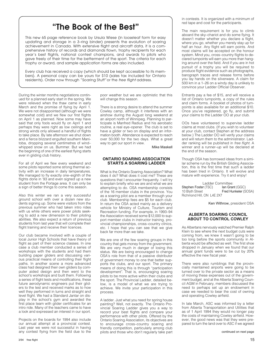# **"The Book of the Best"**

This new 65 page reference book by Ursula Wiese (in looseleaf form for easy updating and storage in a 3–ring binder) presents the evolution of soaring achievement in Canada. With extensive flight and aircraft data, it is a comprehensive history of records and diamonds flown, trophy recipients for each year's best flights, national contest champions, and awards to pilots who gave freely of their time for the betterment of the sport. The criteria for each trophy or award, and sample application forms are also included.

Every club has received a copy (which should be kept accessible to its members). A personal copy can be yours for \$10 (sales tax included for Ontario residents). Order now through "Soaring Stuff" or the *free flight* address.

During the winter months negotiations continued for a planned early start in the spring. We were relieved when the thaw came in early March and the promise of flying by April 1. We were not disappointed (although we were somewhat cold) and we flew our first flights on April 1 as planned. Now some may have said that only fools would fly on April 1 and perhaps they were right as low ceilings and strong winds only allowed a handful of flights to take place. By late afternoon we shut down and a fierce blizzard engulfed southern Manitoba, dropping several centimetres of wind– whipped snow on us. Bummer. But we had the beginning of one of the earliest flying starts ever in gliding club history.

For all of April we flew every weekend and some pilots reported some strong thermal activity with an increase in daily temperatures. We managed to fly exactly one–eighth of the flights done in '93 and even signed up a new student from the Portage area. It can only be a sign of better things to come this season.

Also this winter we ran a very successful ground school with over a dozen new students signing up. Some were visitors from the previous summer who had taken intro rides with us while others were power pilots seeking to add a new dimension to their piloting abilities. We also expect a return of previous students from last year that will complete their flight training and receive their licences.

Our club became involved with a couple of local Junior High Schools that have theory of flight as part of their science classes. In one case a club member conducted a series of workshops with the students and had them building paper gliders and discussing various practical means of controlling their flight paths. In another scene a more advanced class had designed their own gliders by computer aided design and then went to the school's workshops and built them. Following a series of flight tests and modifications, these future aerodynamic engineers put their gliders to the test and received marks as to how well they performed in turns and straight and level flight. We had a Standard Jantar on display in the school's gym and awarded the first place team with glider certificates for an intro ride. Many of the teachers came to have a look and expressed an interest in our sport.

Projects on the boards for 1994 also include our annual attempt at a provincial contest. Last year we were not successful in having any contest flying from the field due to the

poor weather but we are optimistic that this will change this season.

There is a strong desire to attend the summer Cowley camp, although it interferes with an airshow during the August long weekend at an airport north of Winnipeg. Planning to participate is Manfred Radius and his aerobatic routine, a real eye–opener. The club is set to have a glider or two on display and an information booth. Attendance is expected to reach over 50,000 for the two days. What a great way to get our sport in view.

Mike Maskell

# **ONTARIO SOARING ASSOCIATION STARTS A SOARING LADDER**

What is the Ontario Soaring Association? What does it do? What does it cost me? These are questions that I encounter frequently. I will try to explain briefly who we are and what we are attempting to do. OSA membership consists of the 16 member clubs in the province. You as a soaring pilot are a member through your club. Membership fees are \$5 for each club. In return the OSA acted mainly as a delivery vehicle for Ministry of Culture, Tourism and Recreation funding. For example, in 1993–94 the Association received some \$12,000 to support member clubs in instructor training, provincial championships, cross–country clinics, etc. I hope that you can see that we give back far more than we take.

We are one of the few soaring groups in this country that gets money from the government. We are very much in danger of losing this status. We are being encouraged to change OSA's role from that of a passive distributor of government money to one that better supports the clubs, and our sport. The primary means of doing this is through "participation development". That is, encouraging soaring pilots to be more active within their clubs and the sport. The Provincial Ladder, detailed below, is a model of what we are trying to achieve. We invite your participation in this process.

A ladder. Just what you need for spring house painting? Well, not exactly. The Ontario Provincial Soaring Ladder gives you a way to record your best flights and compare your performance with other pilots. Offered by the Ontario Soaring Association, its objectives are to encourage cross–country soaring and friendly competition, particularly among club pilots and those who don't regularly take part in contests. It is organized with a minimum of red tape and cost for the participants.

The main requirement is for you to climb aboard the sky–chariot and do some flying. It doesn't matter whether you declare a flight, where you go, whether you merely stay up for half an hour. Any flight will earn points. And most claims will be accepted on the honour system. Mind you, cross–country flights to declared turnpoints will earn you more than hanging around over the field. And if you are in hot pursuit of a trophy you will be required to produce flight evidence such as photographs, barograph traces and release forms before you lay hands on the silverware. A claim for 500 km in a 1–26 on a windy day is unlikely to convince your Ladder Official Observer.

Entrants pay a fee of \$15, and will receive a list of Ontario turnpoints, a copy of the rules and claim forms. A booklet of photos of turnpoints is also available for an additional \$10. Once you've registered, go fly, and submit your claims to the Ladder OO at your club.

OOs have volunteered to supervise ladder claims at most clubs. (If you wish to volunteer at your club, contact Stephen at the address below.) The Ladder OO will verify your claims and will return them to the administrator. Ladder ranking will be published in free flight. A winner and a runner–up will be declared at the end of the season.

Though OSA has borrowed ideas from a similar scheme run by the British Gliding Association, this is the first time that such a ladder has been tried in Ontario. It will evolve and mature with experience. Try it and enjoy!

Ladder Committee:<br> **Example 15 Francisc Lan Grant** (GGC) Stephen Foster (TSC)<br>10 Blyth Street Fred Hunkeler (SOSA) Richmond Hill, ON L4E 2X7

Ken Withrow, president OSA

# **ALBERTA SOARING COUNCIL ABOUT TO CONTROL COWLEY**

As Albertans nervously watched Premier Ralph Klein to see where the next budget cuts were coming from, we knew it wasn't going to be too long before the sports community in Alberta would be affected as well. The first shoe dropped in January when we found that our annual grant funds were to be cut by 20% effective the new fiscal year.

There were also rumblings that the provincially maintained airports were going to be turned over to the private sector as a means of moving these expenses out of the government budget, and at the Alberta Soaring Council AGM in February, members discussed the need to perhaps set up an endowment in case we needed to bear the cost of owning and operating Cowley airfield.

In late March, ASC was informed by a letter from Alberta Transportation and Utilities that as of 1 April 1994 they would no longer pay the costs of maintaining Cowley airfield. However, the good news was that they were prepared to turn the land over to ASC if we agreed

continued on next page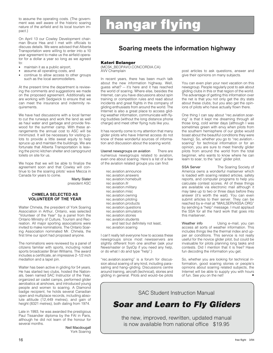ment was well aware of the historic soaring nature of the airfield and its local tourism impact)

On April 13 our Cowley Development chairman Bruce Hea and I met with officials to discuss details. We were advised that Alberta Transportation were willing to enter into a 10 year agreement to make us the airfield operator for a dollar a year so long as we agreed to:

- maintain it as a public airport,
- assume all operating costs, and
- continue to allow access to other groups such as the local aeromodellers.

At the present time the department is reviewing the comments and suggestions we made on the proposed agreement. Additionally we are working with Sedgwick to ensure that we can meet the insurance and indemnity requirements.

We have had discussions with a local farmer to cut the runways and work the land as well as haul water and garbage and provide firewood for the summer camp. With these arrangements the annual cost to ASC will be minimized. It will be necessary for visiting pilots to provide a little sweat equity to help spruce up and maintain the buildings. We are fortunate that Alberta Transportation is leaving the picnic kitchen shelter and campground toilets on site for us.

We hope that we will be able to finalize the agreement soon and that Cowley will continue to be the soaring pilots' wave Mecca in Canada for years to come.

Marty Slater president ASC

# **CHMELA SELECTED AS VOLUNTEER OF THE YEAR**

Walter Chmela, the president of York Soaring Association in Arthur, Ontario, was selected "Volunteer of the Year" by a panel from the Ontario Ministry of Culture, Tourism and Recreation. All major sporting associations were invited to make nominations. The Ontario Soaring Association nominated Mr. Chmela, the first time our sport had proposed anyone.

The nominations were reviewed by a panel of citizens familiar with sports, including noted sports broadcaster Brian Williams. The award includes a certificate, an impressive 2–1/2 inch medallion and a lapel pin.

Walter has been active in gliding for 54 years. He has started two clubs, hosted the Nationals, been named SAC Instructor of the Year, organized air cadet camps, performed glider aerobatics at airshows, and introduced young people and women to soaring. A Diamond badge recipient, he holds several Canadian open and multiplace records, including absolute altitude (12,449 metres), and gain of height (8321 metres), both dating from 1974.

Late in 1993, he was awarded the prestigious Paul Tissandier diploma by the FAI in Paris, although he did not learn of the honour for several months.

Neil Macdougall York Soaring

# to assume the operating costs. (The govern-<br>ment was well aware of the historic soaring<br>nature of the airfield and its local tourism im-<br>pact.)

# **Soaring meets the information highway**

# **Kateri Belanger**

(MCSK\_BEOPAVO.CONCORDIA.CA) AVV Champlain

In recent years, there has been much talk about the new information highway. Well, guess what? — it's here and it has reached the world of soaring. Where else, besides the Internet, can you have discussions about spin training or competition rules and read about incidents and great flights in the company of gliding enthusiasts from around the world. The Internet is also a great place to access gliding weather information, communicate with flying buddies (without the long distance phone charge) and meet other flying nuts like you.

It has recently come to my attention that many glider pilots who have Internet access do not know of these wonderful sources of information and discussion about the soaring world.

Usenet newsgroups on aviation There are numerous newsgroups related to aviation, even one about soaring. Here's a list of a few of the aviation related groups you can find:

rec.aviation.announce rec.aviation.answers rec.aviation.homebuilt rec aviation.ifr rec.aviation.military rec.aviation.misc rec.aviation.owning rec.aviation.piloting rec.aviation.products rec.aviation.questions rec.aviation.simulators rec.aviation.stories rec.aviation.students and last but definitely not least, rec.aviation.soaring

I can't really tell everyone how to access these newsgroups since most newsservers are slightly different from one another (ask your Newsmaster or SysOp if you need any help, or do what I do and type "help".)

"rec.aviation.soaring" is a forum for discussion about soaring of any kind, including para– sailing and hang–gliding. Discussions centre around training, aircraft (technical), stories and gliding in general. Pilots and would–be pilots post articles to ask questions, answer and give their opinions on many subjects.

You can even plan your next vacation on this newsgroup. People regularly post to ask about gliding clubs in this or that region of the world. The advantage of getting this information over the net is that you not only get the dry stats about these clubs, but you also get the opinions of pilots who have actually flown there.

One thing I can say about "rec.aviation.soaring" is that it kept me dreaming through all those long, cold winter days (although I was sometimes green with envy when pilots from the southern hemisphere of our globe would boast about the beautiful conditions they were having). So, whether you go to "rec.aviation. soaring" for technical information or for an opinion, you are sure to meet friendly glider pilots from around the world from the total beginner, who wants to know where he can learn to soar, to the "ace" glider pilot.

SSA Server The Soaring Society of America owns a wonderful mailserver which is loaded with soaring related articles, safety reports, and computer programs to help you calculate contest scores. All of these things are available via electronic mail although it may take up to two or three days before they answer (it's worth the wait). You can even submit articles to their server. They can be reached by e–mail at "MAILSERVASSA.ORG" by sending a "help" message. I must applaud the SSA for all the hard work that goes into this mailserver.

Weather info **Using e-mail**, you can access all sorts of weather information. This includes things like the thermal index and upper air conditions. This service is not really useful for the novice glider pilot, but could be invaluable for pilots planning long tasks and contests. Did I mention that it is free? Have fun decoding the information you get.

So, whether you are looking for technical information, good soaring stories or people's opinions about soaring related subjects, the Internet will be able to supply you with hours of fun. See you on the net!

SAC Student Instruction Manual

*Soar and Learn to Fly Gliders*

the new, improved, rewritten, updated manual is now available from national office \$19.95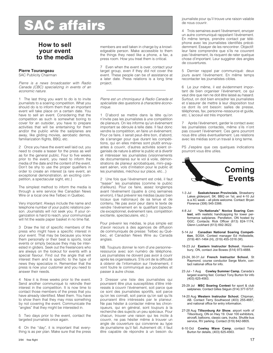# **SAC affairs**

# **How to sell your event to the media**

# **Pierre Tourangeau**

SAC Publicity Chairman

Pierre is a news broadcaster with Radio Canada (CBC) specializing in events of an economic nature.

1 The last thing you want to do is to invite journalists to a soaring competition. What you should do is to inform them that an important event will take place on a certain date. You have to sell an event. Considering that the competition as such is somewhat boring to cover for an outsider, you have to prepare activities that will be entertaining for them and/or the public while the sailplanes are away, like gliding movies, aerobatic demos, familiarization flights, BBQ, etc.

2 Once you have the event well laid out, you need to create a teaser for the press as well as for the general public. Four to five weeks prior to the event, you need to inform the media of the date and the content of the event. Don't be shy to use the proper qualifiers in order to create an interest (a rare event, an exceptional demonstration, an exciting competition, a spectacular sight, etc.)

The simplest method to inform the media is through a wire service like Canadian News Wire or a local one like Telbec in Québec.

Very important: Always include the name and telephone number of your public relations person. Journalists will not seek you. If your organization is hard to reach, your communiqué will hit the waste paper basket in no time flat.

3 Draw the list of specific members of the press who might have a specific interest in your event. That may be because you know them personally or their beat is sports, local events or simply because they may be interested in gliders. Seek out the freelancers who are always on the lookout for events with a special flavour. Find out the angle that will interest them and is specific to the type of news they specialize in. Remember that the press is now your customer and you need to answer their needs.

4 Now it is three weeks prior to the event. Send another communiqué to rekindle their interest in the competition. It is now time to contact those members of the press that you have already identified. Meet them. You have to show them that they may miss something by not covering the event. Communicate the "angles" that they might be interested in.

5 Two days prior to the event, contact the targeted journalists once again.

6 On the "day", it is important that everything is as per plan. Make sure that the press members are well taken in charge by a knowledgeable person. Make accessible to them the things they need like a phone, a fax, a press room. How you treat them is critical.

7 Even when the event is over, contact your target group, even if they did not cover the event. These people can be of assistance at a later date. Press relations is a long time project.

Pierre est un chroniqueur à Radio Canada et spécialiste des questions à charactère économique.

1 D'abord se mettre dans la tête qu'on n'invite pas les journalistes à une compétition de planeurs. On les informe qu'un événement important se déroule à telle date. Il faut donc vendre la compétition, en faire un événement. Pour ce faire, il serait peut–être bon, d'abord, de s'arranger pour que durant les compétitions, qui en elles mêmes sont plutôt ennuyantes à couvrir, d'autres activités soient organisés de nature à attirer le public et à divertir et intéresser les journalistes (visionnements de documentaires sur le vol à voile, démonstrations de planeur acrobatiques, mini–pageant aérien, vols d'initiation pour le public et les journalistes, méchoui sur place, etc...)

2 Une fois que l'événement est créé, il faut "teaser" les journalistes (comme le public d'ailleurs). Pour ce faire, assez longtemps avant l'événement (quatre à cinq semaines environ), il faut prévenir les médias (aussi bien locaux que nationaux) de sa tenue et de contenu. Ne pas avoir peur dans le texte de vendre l'événement en le qualifiant (spectacle exceptionnel, événement rare, compétition excitante, spectaculaire, etc.)

Pour prévenir les médias, le plus simple est d'avoir recours à des agences de diffusion de communiqués de presse: Telbec au Québec, et Canadian News Wire au Canada anglais.

NB. Toujours donner le nom d'une personne– ressource avec son numéro de téléphone. Les journalistes ne doivent pas avoir à courir après les organisateurs. S'ils ont de la difficulté à obtenir de l'information sur l'événement, il vont foutre le communiqué aux poubelles et passer à autre chose.

3 Dresser une liste des journalistes qui pourraient être plus susceptibles d'être intéressés à couvrir l'événement, soit parce que ce sont des journalistes sportifs, soit parce qu'on les connaît, soit parce qu'on sait qu'ils pourraient être intéressés par le planeur. Ne pas hésiter à contacter même les chroniqueurs, qui en général, sont toujours à la recherche des sujects un peu spéciaux. Pour chacun, trouver une raison qui les incite à couvrir, ne pas hésiter même à trouver un angle de couverture qui convienne au type de journalisme qu'il fait. Autrement dit, il faut être capable de répondre à un besoin du

journaliste pour qu'il trouve une raison valable de nous couvrir.

4 Trois semaines avant l'événement, envoyer un autre communiqué rappelant l'événement. En même temps, prendre contact par téléphone avec les journalistes identifiés précédemment. Essayer de les rencontrer. Objectif: leur faire comprendre que s'ils ne couvrent pas l'événement, ils risquent de rater quelque chose d'important. Leur suggérer des angles de couvertures.

5 Dernier rappel par communiqué: deux jours avant l'événement. En même temps recontacter les journalistes cibles.

6 Le jour même, il est évidemment important de bien organiser l'événement, ce qui veut dire que rien ne doit être laissé au hasard. Surtout, on doit bien encadrer les journalistes et s'assurer de mettre à leur disposition tout ce dont ils ont besoin: salles de presse, téléphones, fax, personne–ressource et guide, etc. L'acceuil est très important.

7 Après l'événement, garder le contact avec les journalistes contactés, même s'ils n'ont pas couvert l'événement. Ces gens pourront nous être utiles éventuellement. Les relations avec les médias sont un travail à long terme.

PS J'espère que ces quelques indications pourront vous être utiles.



- 1-3 Jul **Saskatchewan Provincials**, Strawberry Lakes gliderport, SK. BBQ on 1st, and 4-10 Jul is a XC week – all pilots welcome. Contact: Bryan Florence (306) 545-3366.
- 4-8 Jul **"Un-Nationals" Novice Soaring Contest**, with realistic handicapping for lower performance sailplanes. Pendleton, ON hosted by GGC. Contacts: Rick Officer (613) 824-1174, Glenn Lockhard (613) 692-3622.
- 5-14 Jul **Canadian National Soaring Competi-tion**, SOSA. Contest manager Ed Hollestelle, (519) 461-1464 (H), (519) 455-3316 (W).
- 16-23 Jul **Eastern Instructor School**, Hawkesbury, ON, contact Joe Bowes (514) 973-4888.
- 23-24, 30-31 Jul **French Instructor School**, St Raymond, course conductor Serge Morin, contact national office for info.
- 23 Jul 1 Aug **Cowley Summer Camp**, Canada's largest soaring fest. Contact Tony Burton for info (403) 625-4563.
- 25-29 Jul **MSC Soaring Contest** for sport & club sailplanes. Contact Gilles Séguin (514) 377-5737.
- 14-20 Aug **Western Instructor School**, Chipman, AB. Contact Terry Southwood (403) 255-4667, and national office for entry information.
- 27-28 Aug **Tillsonburg Air Show**, airport north of Tillsonburg, ON on Hwy 19. Over 100 exhibitors, aircraft, balloons, classic cars, trucks. Shuttle bus service, RV parking. Contact (519) 842-9805.
- 6-10 Oct **Cowley Wave Camp**, contact Tony Burton for details, (403) 625-4563.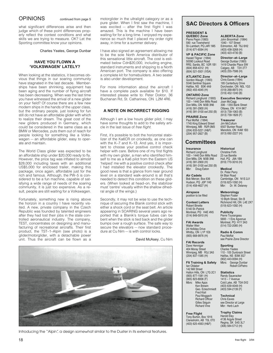# OPINIONS continued from page 5

what significant differences arise and then judge which of these point differences properly reflect the contest conditions and what skills we are trying to measure. OK? Let the Sporting committee know your opinions.

Charles Yeates, George Dunbar

# **HAVE YOU FLOWN A 'VOLKSWAGEN' LATELY?**

When looking at the statistics, it becomes obvious that things in our soaring community have stagnated in the last decade. Memberships have been shrinking, equipment has been aging and the number of flying aircraft has been decreasing. When was the last time you have witnessed the arrival of a new glider on your field? Of course there are a few new modern ships in the hands of the upper class, but the ordinary people, just looking for fun still do not have an affordable glider with which to realize their dream. The great cost of the new gliders produced in Germany, which could be considered in the same class as a BMW or Mercedes, puts them out of reach for people looking for something like a Volkswagen — an affordable glider, easy to operate and maintain.

The World Class glider was expected to be an affordable ship under \$20,000 ready to fly. However, the price tag was inflated to almost \$28,000 including taxes with an additional US\$5,000 for enclosed trailer, making this package, once again, affordable just for the rich and famous. Although, the PW–5 is considered to be a fun machine, capable of satisfying a wide range of needs of the soaring community, it is just too expensive. As a result, people are still waiting for a Volkswagen.

Fortunately, something new is rising above the horizon in a country I have recently visited. A new, private company in the Czech Republic was founded by talented engineers after they had lost their jobs in the state controlled aeronautical industry. The company, TEST, concentrates on designing and manufacturing of recreational aircrafts. Their first product, the TST–1–Alpin (see photo) is a glider/motorglider, with a detachable power unit. Thus the aircraft can be flown as a motorglider in the ultralight category or as a pure glider. When I first saw the machine, I was excited — after the first flight I was amazed. This is the machine I have been waiting for for a long time. I enjoyed my experience so much that I placed my order right away, in time for a summer delivery.

I have also signed an agreement allowing me to be the sole North America distributor of this sensational little aircraft. The cost is estimated below Cdn\$20,000, including engine, standard instruments and shipping to a North American port. The company is also offering a complete kit for homebuilders. A two seater is also under development.

For more information about the aircraft I have a complete pack available for \$10. If interested please write to: Peter Doktor, 36 Buchanan Rd, St. Catharines, ON L2M 4R6.

# **A NOTE ON INCORRECT RIGGING**

Although I am a low hours glider pilot. I may have some thoughts to add to the safety article in the last issue of free flight.

First, it's possible to bolt the horizontal stabilizer of the Ka6CR on crookedly, as one can with the K–7 and K–13. And yes, it is important to choose your positive control check helper with care. Before one of my first flights with my own glider, a man who identified himself to me as a Ka6 pilot from the Eastern US 'helped' me with a positive control check after I had installed the elevator crookedly. The good news is that a glance from near ground level on a standard walk–around is all that's needed to detect this condition on these gliders. (When looked at head–on, the stabilizer must 'centre' visually within the shallow dihedral angle of the wings.)

Secondly, it may not be wise to use the technique of securing the Blanik control stick with either a shock cord or the seat belt. An article appearing in SOARING several years ago reported that a Blanik's torque tubes can be bent when the stick is tied back and the glider bumps over a rough surface. The safe way to secure the elevators – now standard procedure at Cu Nim — is with control locks.

David McAsey, Cu Nim



Introducing the "Alpin", a design somewhat similar to the Duster in its external features.

# **SAC Directors & Officers**

**ALBERTA Zone** John Broomhall (1994) 1040 - 107 Street Edmonton, AB T6J 6H2 (403) 438-3268 (H) (403) 423-4730 (B) **Director–at–Large** George Dunbar (1993) 1419 Chardie Place SW Calgary, AB T2V 2T7 (403) 255-7586 (H) **Director–at–Large** Chris Eaves (1994) 185 Canterbury Drive Dorchester, ON N0L 1G3 (519) 268-8973 (H) (519) 452-1240 (B) **Executive Secretary** Joan McCagg 306 - 1355 Bank Street Ottawa, ON K1H 8K7 (613) 739-1063 (B) (613) 739-1826 (F) **Treasurer** Jim McCollum 6507 Bunker Road Manotick, ON K4M 1B3

# **PRESIDENT &**

**QUEBEC Zone** Pierre Pepin (1993) 590 rue Townshend St–Lambert, PQ J4R 1M5 (514) 671-6594 (H)

**VP & PACIFIC Zone** Harald Tilgner (1994) 50090 Lookout Road RR2, Sardis, BC V2R 1B1 (604) 858-4312 (H) (604) 521-5501 (VSA)

**ATLANTIC Zone** Gordon Waugh (1993) 5546 Sentinel Square Halifax, NS B3K 4A9 (902) 455-4045 (H)

**ONTARIO Zone** Richard Longhurst (1993) 100 – 1446 Don Mills Road Don Mills, ON M3B 3N6 (416) 391-2900 (H) (416) 391-3100 ext 250 (B)

**PRAIRIE Zone** Paul Moffat (1994) 1745 King Edward Street Winnipeg, MB R2R 0M3 (204) 633-5221 (H&F) (204) 957-2827 (B)

**Committees**

**Insurance**

# (613) 692-2227 (H)

Richard Longhurst 100 – 1446 Don Mills Road Don Mills, ON M3B 3N6 (416) 391-2900 (H) (416) 391-3100 ext 250 (B) Mbr: Doug Eaton **Historical** Christine Firth

**Air Cadets** Bob Mercer, Box 636 Hudson, PQ J0P 1H0 (514) 458-4627 (H)

**Airspace** position to be filled

**Contest Letters** Robert Binette 5140 St–Patrick Montreal, PQ H4E 4N5 (514) 849-5910 (H)

**FAI Awards** Walter Weir 24 Holliday Drive Whitby, ON L1P 1E6 (905) 668-9976 (H)

**FAI Records** Dave Hennigar 404 Moray Street Winnipeg, MB R3J 3A5 (204) 837-1585 (H)

**Flt Training & Safety** Ian Oldaker 142 Mill Street Halton Hills, ON L7G 2C1 (905) 877-1581 (H) (905) 823-8006 (F) Mike Apps

Ken Brewin Geo. Eckschmiedt Fred Kisil Paul Moggach Richard Officer Gilles Séguin Richard Vine

**Free Flight** Tony Burton, Box 1916 Claresholm, AB T0L 0T0 (403) 625-4563 (H&F)

# 23 rue Barette Hull, PQ J9A 1B9 (819) 770-3016 (H) **Medical**

Dr. Peter Perry 64 Blair Road Cambridge, ON N1S 2J1 (519) 623-1092 (H) Mbr: Dr. W. Delaney

**Meteorology** Stephen Foster 10 Blyth Street, Stn B Richmond Hill, ON L4E 2X7 (519) 623-1092 (H)

> **Publicity** Pierre Tourangeau 5693 - 1 Eire Agvenue Montreal, PQ H1Y 3A3 (514) 722-2085 (H)

**Radio & Comm** Paul Moffat see Prairie Zone Director

### **Sporting**

Charles Yeates 110 - 105 Dunbrack Street Halifax, NS B3M 3G7 (902) 443-0094 (H) George Dunbar Robert DiPietro

### **Statistics**

Randy Saueracker 1413 – 7 Avenue Cold Lake, AB T0A 0V2 (403) 639-4049 (H)  $(403)$  594-2139 $(F)$ 

**Technical** Chris Eaves see Director at Large Mbr: Herb Lach

#### **Trophy Claims** Harold Eley

4136 Argyle Street Regina, SK S4S 3L7 (306) 584-5712 (H)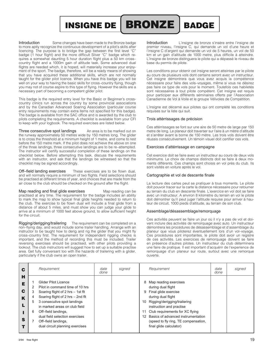

Introduction Some changes have been made to the Bronze badge to more aptly recognize the continuous development of a pilot's skills after licencing. The purpose is to bridge the gap between the first level "C" badge (1 hour flight) and the more difficult Silver "C" badge which requires a somewhat daunting 5 hour duration flight plus a 50 km cross– country flight and a 1000m gain of altitude task. Some advanced dual flights are needed which, it is hoped, will materially increase your enjoyment of the sport. The badge, therefore, will be a ready means of showing that you have acquired these additional skills, which are not normally taught for the glider pilot licence. When you have this badge you will be well on your way to having the basic skills for cross–country flying, though you may not of course aspire to this type of flying. However the skills are a necessary part of becoming a competent glider pilot.

This badge is the required entry level for the Basic or Beginner's crosscountry clinics run across the country by some provincial associations and by the Canadian Advanced Soaring Association (particular course entry requirements may contain extra items not specified for this badge). The badge is available from the SAC office and is awarded by the club to pilots completing the requirements. A checklist is available from your CFI to keep with your logbook. The required exercises are listed below.

Three consecutive spot landings An area is to be marked out on the runway approximately 50 metres wide by 150 metres long. The glider is to cross the threshold at a minimum height of 1 metre, and come to rest before the 150 metre mark. If the pilot does not achieve the above on one of the three landings, three consecutive landings are to be re–attempted. The instructor will certify successful completion of these landings on the checklist below. Before attempting this task, discuss the requirements with an instructor, and ask that the landings be witnessed so that the checklist may be signed accordingly.

Off–field landing exercises These exercises are to be flown dual, and will normally require a minimum of two flights. Field selections should be practised at different times of year, and choices that are made from the air close to the club should be checked on the ground after the flight.

Map reading and final glide exercises Map reading can be practised at any time. The requirement for the badge includes an ability to mark the map to show typical final glide heights needed to return to the club. The exercise to be flown dual will include a final glide from a distance of about 5 miles, and must show you can judge your glide to arrive at a minimum of 1000 feet above ground, to allow sufficient height for the circuit.

Rigging/derigging/trailering The requirement can be completed on a non–flying day, and would include some trailer handling. Arrange with an instructor to be taught how to derig and rig the glider that you might fly cross–country first. The requirement for independent rigging checks is important, and the method of recording this must be included. Trailer reversing exercises should be practised, with other pilots providing a lookout. The club instructors will suggest how to set up a suitable practise area. Get fully conversant too with the hazards of trailering with a glider, particularly if the club owns an open trailer.

Introduction L'insigne de bronze s'insère entre l'insigne de premier niveau, l'insigne C, qui demande un vol d'une heure et l'insigne C d'argent qui demande un vol de 5 heures, un vol de 50 km et un gain d'altitude de 1000 metre, plus difficile à atteindre. L'insigne de bronze distinguera le pilote qui a dépassé le niveau de base du permis de pilote.

Les conditions pour obtenir cet insigne seront atteintes par le pilote au cours de plusieurs vols dont certains seront avec un instructeur. Cet insigne démontrera que vous avez acquis la compétence nécessaire pour faire des vols–voyages, même si vous ne désirez pas faire ce type de vols pour le moment. Toutefois ces habiletés sont nécessaires à tout pilote compétent. Cet insigne est requis pour participer aux différents séminaires offerts par l'Association Canadienne de Vol à Voile et le groupe Vélivoles de Compétition.

L'insigne est décerné aux pilotes qui ont complété les conditions requises sur la liste qui suit.

# Trois attérrissages de précision

Ces attérrissages se font sur une aire de 50 metre de large par 150 metre de long. Le planeur doit traverser sur l'aire à un mètre d'altitude et s'arrêter avant la borne de 150 mètre. Les trois vols doivent être réussis consécutivement. Un témoin visuel doit certifier ces vols.

## Exercices d'attérrissage en campagne

Cet exercice doit se faire avec un instructeur au cours de deux vols minimums. Le choix de champs distincts doit se faire à deux moments différents. Ces champs sont choisis en vol près du club. Ils sont visités en voiture après le vol.

# Cartographie et vol de descente finale

La lecture des cartes peut se pratiquer à tous moments. Le pilote doit pouvoir tracer sur la carte la distance nécessaire pour retourner au terrain du club en descente finale. L'exercice en vol doit se faire avec un instructeur. A environ 8 kilomètre du terrain en vol le pilote doit démontrer qu'il peut juger l'altitude requise pour arriver à hauteur de circuit, 1000 pieds d'altitude, au terrain de son club.

# Assemblage/désassemblage/remorquage

Ces activités peuvent se faire un jour où il n'y a pas de vol et doivent inclure des activités de remorquage avec auto. Un instructeur démontrera les procédures de désassemblage et d'assemblage du planeur que vous piloterez éventuellement lors d'un vol–voyage. Ces procédures sont importantes, le pilote doit avoir un registre de ces activités. Les exercices de remorquage doivent se faire en présence d'autres pilotes. Un instructeur du club déterminera une faire de pratique. Il est important d'acquérir de l'experience de remorquage d'un planeur sur route, surtout avec une remorque ouverte.

| C                     |             | Requirement                                                                                                                                                                                                                                                                                                          | date<br>done | signed | Requirement<br>date<br>done                                                                                                                                                                                                                                                                                          | signed |
|-----------------------|-------------|----------------------------------------------------------------------------------------------------------------------------------------------------------------------------------------------------------------------------------------------------------------------------------------------------------------------|--------------|--------|----------------------------------------------------------------------------------------------------------------------------------------------------------------------------------------------------------------------------------------------------------------------------------------------------------------------|--------|
| н<br>Е<br>C<br>K<br>S | 3<br>5<br>6 | Glider Pilot Licence<br>Pilot in command time of 10 hrs<br>Soaring flight of 2 hrs - 1st flt<br>Soaring flight of 2 hrs - 2nd flt<br>3 consecutive spot landings<br>in marked areas on club field<br>Off-field landings,<br>dual field selection exercises<br>Off-field landings,<br>dual circuit planning exercises |              |        | Map reading exercises<br>8<br>during dual flight<br>Final glide exercise<br>9<br>during dual flight<br>10 Rigging/derigging/trailering<br>instruction and practise<br>11 Club requirements for XC flying<br>12 Basics of advanced instrumentation<br>(speed to fly ring, TE compensation,<br>final glide calculator) |        |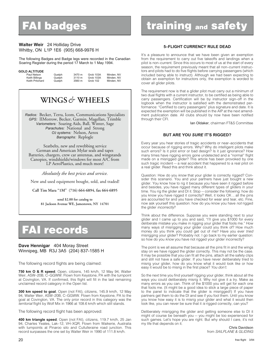# **FAI badges**

# **Walter Weir** 24 Holliday Drive Whitby, ON L1P 1E6 (905) 668-9976 H

The following Badges and Badge legs were recorded in the Canadian Soaring Register during the period 17 March to 1 May 1994.

# **GOLD ALTITUDE**

| Paul Nelson     | Guelph | 3470 m | Grob 103A | Minden, NV |
|-----------------|--------|--------|-----------|------------|
| Keith Billings  | Guelph | 3110 m | Grob 103A | Minden, NV |
| Keith Pritchard | Guelph | 3560 m | Grob 102  | Minden, NV |

# **WINGS***&* **WHEELS**

*Radios:* Becker, Terra, Icom, Communications Specialists *GPS:* IIMorrow, Becker, Garmin, Magellan, Trimble *Variometers:* Soaring Aids, Ball, Winter, Sage *Parachutes:* National and Strong *O2 systems:* Nelson, Aerox *Barographs:* Replogle

Seatbelts, new and rewebbing service German and American Mylar seals and tapes Batteries, chargers, crew car antennas, and wingstands Canopies, windshields/windows for most A/C from LP AeroPlastics, and much more!

*Absolutely the best prices and service.*

New and used equipment bought, sold, and traded!

**Call Tim Mara "1M" (716) 664-6894, fax 664-6895**

**send \$2.00 for catalog to 81 Jackson Avenue WE, Jamestown, NY 14701**

# **FAI records**

# **Dave Hennigar** 404 Moray Street Winnipeg, MB R3J 3A5 (204) 837-1585 H

The following record flights are being claimed:

**750 km O & R speed**, Open, citizens, 145 km/h, 12 May 94, Walter Weir, ASW–20B, C–GGWW. Flown from Keystone, PA with the turnpoint at Covington, VA. If confirmed, this flight will fill in the last remaining unclaimed record category in the Open list.

**300 km speed to goal**, Open (not FAI), citizens, 145.9 km/h, 12 May 94, Walter Weir, ASW–20B, C–GGWW. Flown from Keystone, PA to the goal at Covington, VA. The only prior record in this category was the territorial flight by Wolf Mix in 1966 at 108.6 km/h which still stands.

The following record flight has been approved:

**400 km triangle speed**, Open (not FAI), citizens, 119.7 km/h, 25 Jan 94, Charles Yeates, Lak–12, VH–XQR. Flown from Waikerie, Australia with turnpoints at Pinaroo silo and Cullulleraine road junction. This record surpasses the one set by Walter Weir in 1990 of 111.8 km/h.

# **training and safety**

# **5–FLIGHT CURRENCY RULE DEAD**

It's a pleasure to announce that we have been given an exemption from the requirement to carry out five takeoffs and landings when a pilot is non–current. Since this occurs to most of us at the start of every season, the requirement previously meant that all non–current instructors and pilots had to do five flights before carrying passengers (which included being able to instruct). Although we had been expecting to obtain an exemption for instructors only, the exemption is worded to cover all glider pilots.

The requirement now is that a glider pilot must carry out a minimum of two dual flights with a current instructor, to be certified as being able to carry passengers. Certification will be by instructor sign–off in the logbook when the instructor is satisfied with the demonstrated performance: "Certified to carry passengers" plus signature and date. It is expected the exemption will be published in the AIP at the next amendment publication date. All clubs should by now have been notified through their CFI.

Ian Oldaker, chairman FT&S Committee

# **BUT ARE YOU** *SURE* **IT'S RIGGED?**

Every year you hear stories of tragic accidents or near–accidents that occur because of rigging errors. Why? Why do intelligent pilots make such errors? Is it pilot error or bad design? Is it just ignorance? How many times have rigging errors gone undetected and a "normal" flight made on a misrigged glider? This article has been provoked by one such tragic incident — a real accident that happened to a real pilot on a real glider. Read this and think about it.

Question: How do you know that your glider is correctly rigged? Consider this scenario. You and your partners have just bought a new glider. You know how to rig it because you have seen it rigged before and besides, you have rigged many different types of gliders in your time. You rig the glider and DI it. Stop — consider the following: how do you know you have rigged it correctly? Well, it looks OK ... all the pins are accounted for and you have checked for wear and tear, etc. Fine, now ask yourself this question: how do you know you have not rigged the glider *incorrectly*?

Think about the difference. Suppose you were standing next to your glider and I came up to you and said, "I'll give you \$1000 for every deliberate mistake you make in rigging your glider that fools me." How many ways of misrigging your glider could you think of? How much money do you think you could get out of me? Have you ever tried misrigging your glider? Probably not. I go back to my earlier question: so how do you know you have not rigged your glider incorrectly?

The point is we all assume that because all the pins fit in and the wings stay on we have rigged the glider correctly. This may not be the case. It may be possible that you can fit all the pins, attach all the safety clips and still not have a safe glider. If you have never deliberately tried to misrig your glider, how do you know what it would look like or how easy it would be to misrig in the first place? You don't.

So the next time you find yourself rigging your glider, think about all the ways you could deliberately misrig it. Why not give it a try. Make as many errors as you can. Think of the \$1000 you will get for each one that fools me. (It might be a good idea to stick a large piece of paper to the panel to indicate that the glider is misrigged!) If you have partners get them to do the DI and see if you fool them. Until you know you know how easy it is to misrig your glider and what it would then look like, you can never be sure that it is rigged correctly, can you?

Deliberately misrigging the glider and getting someone else to DI it might of course be beneath you — you might be too experienced for such games. Let's hope you are right. But why should I care, it's not my life that depends on it.

Chris Davidson from SAILPLANE & GLIDING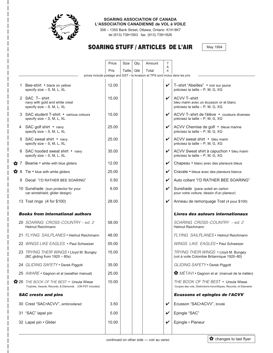

# **SOARING ASSOCIATION OF CANADA L'ASSOCIATION CANADIENNE de VOL à VOILE**

306 – 1355 Bank Street, Ottawa, Ontario K1H 8K7 tel (613) 739•1063 fax (613) 739•1826

# **SOARING STUFF / ARTICLES DE L'AIR**

May 1994

|                |                                                                                                   | Price | Size   | Qty. | Amount | $\top$ |                                                                                                         |
|----------------|---------------------------------------------------------------------------------------------------|-------|--------|------|--------|--------|---------------------------------------------------------------------------------------------------------|
|                |                                                                                                   | Prix  | Taille | Qté  | Total  | Α<br>Χ |                                                                                                         |
|                | prices include postage and GST · la livraison et TPS sont inclus dans les prix                    |       |        |      |        |        |                                                                                                         |
|                | 1 Bee-shirt • black on yellow<br>specify size $-$ S, M, L, XL                                     | 12.00 |        |      |        | V      | T-shirt "Abeilles" • noir sur jaune<br>précisez la taille - P, M, G, XG                                 |
|                | 2 SAC T-shirt<br>navy with gold and white crest<br>specify size $-$ S, M, L, XL                   | 15.00 |        |      |        | ✓      | <b>ACVV T-shirt</b><br>bleu marin avec un écusson or et blanc<br>précisez la taille - P, M, G, XG       |
| 3              | SAC student T-shirt • various colours<br>specify size - S, M, L, XL                               | 15.00 |        |      |        | ✓      | ACVV T-shirt de l'élève • couleurs diverses<br>précisez la taille - P, M, G, XG                         |
| 4              | SAC golf shirt • navy<br>specify size $-$ S, M, L, XL                                             | 25.00 |        |      |        | V      | ACVV Chemise de golf · bleue marine<br>précisez la taille - P, M, G, XG                                 |
|                | 5 SAC sweat shirt • navy<br>specify size $-$ S, M, L, XL                                          | 25.00 |        |      |        | ✓      | ACVV sweat shirt • bleu marin<br>précisez la taille - P, M, G, XG                                       |
|                | 6 SAC hooded sweat shirt • navy<br>specify size $-$ S, M, L, XL                                   | 35.00 |        |      |        | V      | ACVV Sweat shirt à capuchon • bleu marin<br>précisez la taille - P, M, G, XG                            |
| $\mathbf{2}^7$ | Beanie • white with blue gliders                                                                  | 12.00 |        |      |        | ✓      | Chapeau • blanc avec des planeurs bleus                                                                 |
| <b>178</b>     | Tie • blue with white gliders                                                                     | 25.00 |        |      |        | V      | Cravate • bleue avec des planeurs blancs                                                                |
| 9              | Decal "I'D RATHER BEE SOARING"                                                                    | 0.50  |        |      |        | ✔      | Auto collant "I'D RATHER BEE SOARING"                                                                   |
|                | 10 Sunshade (sun protector for your<br>car windshield; glider design)                             | 6.00  |        |      |        | V      | Sunshade (para-soleil en carton<br>pour votre voiture; dessin d'un planeur)                             |
|                | 13 Tost rings (4 for \$100)                                                                       | 28.00 |        |      |        | V      | Anneau de remorquage Tost (4 pour \$100)                                                                |
|                | <b>Books from international authors</b>                                                           |       |        |      |        |        | Livres des auteurs internationaux                                                                       |
|                | 20 SOARING CROSS-COUNTRY - ed. 2<br>Helmut Reichmann                                              | 58.00 |        |      |        |        | SOARING CROSS-COUNTRY - ed. 2<br>Helmut Reichmann                                                       |
|                | 21 FLYING SAILPLANES • Helmut Reichmann                                                           | 48.00 |        |      |        |        | FLYING SAILPLANES • Helmut Reichmann                                                                    |
|                | 22 WINGS LIKE EAGLES . Paul Schweizer                                                             | 55.00 |        |      |        |        | WINGS LIKE EAGLES . Paul Schweizer                                                                      |
|                | 23 TRYING THEIR WINGS . Lloyd M. Bungey<br>$(BC$ gliding from $1920 - 80s$ )                      | 15.00 |        |      |        |        | TRYING THEIR WINGS . Lloyd M. Bungey<br>(vol à voile Colombie Britannique 1920-80)                      |
|                | 24 GLIDING SAFETY . Derek Piggott                                                                 | 35.00 |        |      |        |        | GLIDING SAFETY . Derek Piggott                                                                          |
|                | 25 AWARE • Gagnon et al (weather manual)                                                          | 25.00 |        |      |        |        | MÉTAVI • Gagnon et al (manuel de la météo)                                                              |
|                | 26 THE BOOK OF THE BEST • Ursula Wiese<br>Trophies, Awards, Records, & Diamonds (ON PST included) | 10.00 |        |      |        |        | THE BOOK OF THE BEST • Ursula Wiese<br>Coupes des vols, Distinctions honorifiques, Records, et Diamants |
|                | <b>SAC crests and pins</b>                                                                        |       |        |      |        |        | Ecussons et epingles de l'ACVV                                                                          |
|                | 30 Crest "SAC.ACVV", embroidered                                                                  | 3.50  |        |      |        | ✓      | Ecusson "SAC.ACVV", brodé                                                                               |
|                | 31 "SAC" lapel pin                                                                                | 5.00  |        |      |        | V      | Epingle "SAC"                                                                                           |
|                | 32 Lapel pin . Glider                                                                             | 10.00 |        |      |        | V      | Epingle · Planeur                                                                                       |
|                |                                                                                                   |       |        |      |        |        |                                                                                                         |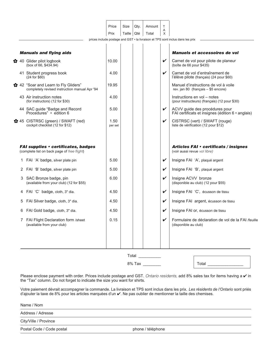|   |                                                                                           | Price<br>Prix   | Size<br>Taille | Qty.<br>Qté | Amount<br>Total | $\mathsf{T}$<br>Α<br>X     |                                                                                     |
|---|-------------------------------------------------------------------------------------------|-----------------|----------------|-------------|-----------------|----------------------------|-------------------------------------------------------------------------------------|
|   |                                                                                           |                 |                |             |                 |                            | prices include postage and GST • la livraison et TPS sont inclus dans les prix      |
|   | <b>Manuals and flying aids</b>                                                            |                 |                |             |                 |                            | Manuels et accessoires de vol                                                       |
|   | ☆ 40 Glider pilot logbook<br>(box of 66, \$434.94)                                        | 10.00           |                |             |                 | $\checkmark$               | Carnet de vol pour pilote de planeur<br>(boîte de 66 pour \$435)                    |
|   | 41 Student progress book<br>(24 for \$60)                                                 | 4.00            |                |             |                 | $\checkmark$               | Carnet de vol d'entraînement de<br>l'élève pilote (français) (24 pour \$60)         |
|   | ☆ 42 "Soar and Learn to Fly Gliders"<br>completely revised instruction manual Apr '94     | 19.95           |                |             |                 |                            | Manuel d'instructions de vol à voile<br>rev. jan 80 (français - \$5 encore)         |
|   | 43 Air instruction notes<br>(for instructors) (12 for \$30)                               | 4.00            |                |             |                 |                            | Instructions en vol - notes<br>(pour instructeurs) (français) (12 pour \$30)        |
|   | 44 SAC guide "Badge and Record<br>Procedures" • edition 6                                 | 5.00            |                |             |                 | $\checkmark$               | ACVV guide des procédures pour<br>FAI certificats et insignes (édition 6 · anglais) |
|   | ☆ 45 CISTRSC (green) / SWAFT (red)<br>cockpit checklist (12 for \$12)                     | 1.50<br>per set |                |             |                 | $\checkmark$               | CISTRSC (vert) / SWAFT (rouge)<br>liste de vérification (12 pour \$12)              |
|   | <b>FAI supplies • certificates, badges</b><br>(complete list on back page of free flight) |                 |                |             |                 |                            | Articles FAI • certificats / insignes<br>(voir aussi revue vol libre)               |
|   | 1 FAI 'A' badge, silver plate pin                                                         | 5.00            |                |             |                 | $\checkmark$               | Insigne FAI 'A', plaqué argent                                                      |
| 2 | FAI 'B' badge, silver plate pin                                                           | 5.00            |                |             |                 | $\checkmark$               | Insigne FAI 'B', plaqué argent                                                      |
|   | 3 SAC Bronze badge, pin<br>(available from your club) (12 for \$55)                       | 6.00            |                |             |                 | $\checkmark$               | Insigne ACVV bronze<br>(disponible au club) (12 pour \$55)                          |
| 4 | FAI 'C' badge, cloth, 3" dia.                                                             | 4.50            |                |             |                 | $\checkmark$               | Insigne FAI 'C', écusson de tissu                                                   |
| 5 | FAI Silver badge, cloth, 3" dia.                                                          | 4.50            |                |             |                 | $\checkmark$               | Insigne FAI argent, écusson de tissu                                                |
| 6 | FAI Gold badge, cloth, 3" dia.                                                            | 4.50            |                |             |                 | $\checkmark$               | Insigne FAI or, écusson de tissu                                                    |
|   | 7 FAI Flight Declaration form /sheet<br>(available from your club)                        | 0.15            |                |             |                 | $\boldsymbol{\mathcal{L}}$ | Formulaire de déclaration de vol de la FAI /feuille<br>(disponible au club)         |
|   |                                                                                           |                 |                |             |                 |                            |                                                                                     |
|   |                                                                                           |                 | Total          |             |                 |                            |                                                                                     |

8% Tax \_\_\_\_\_\_\_\_ Total \_\_\_\_\_\_\_\_\_\_\_\_\_\_\_\_

Please enclose payment with order. Prices include postage and GST. Ontario residents, add 8% sales tax for items having a  $\vee$  in the "Tax" column. Do not forget to indicate the size you want for shirts.

Votre paiement dévrait accompagner la commande. La livraison et TPS sont inclus dans les prix. *Les résidents de l'Ontario* sont priés d'ajouter la taxe de 8% pour les articles marquées d'un  $\checkmark$ . Ne pas oublier de mentionner la taille des chemises.

Address / Adresse

City/Ville / Province

Postal Code / Code postal phone / téléphone / téléphone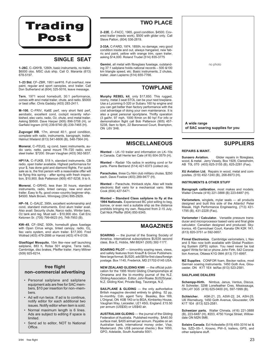

# **SINGLE SEAT**

**1–26C**, C–GNYB, 1260h, basic instruments, no trailer. \$6000 obo. MSC club ship. Call O. Maranta (613) 678-5197.

**1–23 Std**, CF–ZBR, 1951 ser#16. Full overhaul, new paint, regular and sport canopies, encl trailer. Call Don Sutherland at (604) 325-5016, leave message.

**Tern**, 1971 wood homebuilt, 30:1 performance, comes with encl metal trailer, chute, and radio. \$5000 or best offer. Chris Gadsby (403) 283-2411.

**M–100**, C–FRIV, Ka6E perf, very short field perf, aerobatic, excellent cond, cockpit recently refurbished, elec vario, radio, O2, chute, encl metal trailer. Asking \$9500. Dave Harper (905) 896-3758 (H), or Garfield Ingram (416) 239-9740 (B) 239-7465 (H).

**Zugvogel IIIB**, 17m, almost 40:1, good condition, complete with radio, instruments, barograph, trailer. Helmut Wieland (613) 541-6606 (B), 548-7564 (H).

**Monerai**, C–FEUQ, vg cond, basic instruments, audio vario, netto, panel mount TR–720 radio, encl steel trailer. \$7200. Struan Vaughan (403) 362-5837.

**HP11A**, C–FUKB, 518 h, standard instruments, CB radio, open trailer available. Highest performance for your \$, has done gold and diamond flights. For quick sale as is, the first person with a reasonable offer will be flying this spring – after spring with fresh inspection, \$10,900. Bob Patterson (905) 457-5238, 9 to 9.

**Monerai**, C–GRHG, less than 30 hours, standard instruments, radio, tinted canopy, new encl alum trailer. Easy to fly, good cross–country beginner ship. \$4500. Mark Brown, Winnipeg (204) 895-2929.

**HP–16**, C–GAUZ, 395h, excellent workmanship and cond, standard instruments. Encl alum trailer avail. Also avail: Security chute, Narco radio, Winter baro, O2 tank and reg. Must sell – \$10,900 obo. Call Eric Ketonen Sr. (705) 799-6623 (H), 748-7953 (B).

**KW–45**, CF–SNZ, 500h, homebuilt glass fuselage with Open Cirrus wings, tinted canopy, radio, O2, Ilec vario system, encl alum trailer. \$17,000. Fred Wollrad (403) 479-2886 or Harold (403) 474-0139.

**Glasflügel Mosquito**, 15m like–new self launching sailplane, 883 h, Rotax 501 engine, Terra radio, Cambridge, disc brakes, Pfeiffer trailer. Harry Miltner (509) 925-6214.

# **free flight non–commercial advertising**

- Personal sailplane and sailplane equipment ads are free for SAC members, \$10 per insertion for non–members.
- Ad will run twice. If ad is to continue, notify editor for each additional two issues. Notify editor when item is sold.
- Normal maximum length is 6 lines. Ads are subject to editing if space is limited.
- Send ad to editor, NOT to National Office.

**2–22E**, C–FACC, 1965, good condition. \$4500. Covered trailer (needs work), \$500 with glider only. Call Steve Patton, (604) 536-2819.

**2-33A**, C-FARD, 1974, 1850h, no damage, very good condition inside and out, always hangared, new fabric and paint, yellow with orange trim, open trailer, asking \$14,000. Roland Trudel (514) 835-3775

**Gemini**, all metal with fibreglass fuselage, outstanding 37:1 sailplane holds national records – 500 &100 km triangle speed, etc. Basic instruments, 2 chutes, trailer. Jean Lapierre (514) 655-7766.

# **TOWPLANE**

**Murphy REBEL kit**, only \$17,850. This rugged, roomy, metal 3 seat STOL can be your next towplane. Use a Lycoming 0-320 or Subaru 160 hp engine and you can get better than factory performance with the cost advantage of doing your own maintenance. It is also a great personal sportplane. Thrifty operation (3 gal/hr, 97 mph, 1000 ft/min on 80 hp! For info or demonstration flight call Bob Patterson (905) 457- 5238, 9am to 9pm, 22 Baronwood Court, Brampton, ON L6V 3H6.

# **MISCELLANEOUS**

**Wanted** – LK–10 trailer and information on LK–10s in Canada. Call Herrie ten Cate (416) 604-3579 (H).

**Wanted** – Radair 10s radios in working cond or for parts. Pierre Bertrand (514) 421-6373 (collect ok).

**Parachutes**, three Cu Nim club military chutes, \$250 each. Dave Fowlow (403) 289-9477 (H).

**Wanted** – Parachute, thinback style. Also will trade electronic Ball vario for a mechanical vario. Mike Cook (604) 427-5471.

**Wanted – Standard Class sailplane to fly at the 1994 Nationals.** Experienced BC pilot willing to beg, borrow, or even rent a suitable ship as the distance prohibits bringing my own. Required from 2-15 July. Call Nick Pfeiffer (604) 850-9345.

# **MAGAZINES**

**SOARING** — the journal of the Soaring Society of America. International subscriptions \$US35 second class. Box E, Hobbs, NM 88241 (505) 392-1177.

**SOARING PILOT** — bimonthly soaring news, views, and safety features from Knauff & Grove Publishers. New large format. \$US20, add \$8 for first class/foreign postage. Box 1145, Frederick, MD 21702-0145 USA.

**NEW ZEALAND GLIDING KIWI** — the official publication for the 1995 World Gliding Championships at Omarama and the bi–monthly journal of the N.Z. Gliding Association. Editor, John Roake. \$US25/year. N.Z. Gliding Kiwi, Private Bag, Tauranga, N.Z.

**SAILPLANE & GLIDING** — the only authoritative British magazine devoted entirely to gliding. 52 pp, bi–monthly. Cdn. agent Terry Beasley, Box 169, L'Orignal, ON K0B 1K0 or to BGA, Kimberley House, Vaughan Way, Leicester, LE1 4SG, England. £15.50 per annum (US\$30) or US\$40 air.

**AUSTRALIAN GLIDING** — the journal of the Gliding Federation of Australia. Published monthly. \$A40.50 surface mail, \$A55 airmail per annum. Payable on an Australian bank, international money order, Visa, Mastercard. (No US\$ personal checks.) Box 1650, GPO, Adelaide, South Australia 5001.

no photo

**A wide range of SAC soaring supplies for you**

# **SUPPLIERS**

### **REPAIRS & MAINT.**

**Sunaero Aviation.** Glider repairs in fibreglass, wood, & metal. Jerry Vesely, Box 1928, Claresholm, AB T0L 0T0 (403) 625-3155 (B), 625-2281 (Fax).

**XU Aviation Ltd.** Repairs in wood, metal and composites. (519) 452-1240 (B), 268-8973 (H).

### **INSTRUMENTS & OTHER STUFF**

**Barograph calibration**, most makes and models. Walter Chmela (416) 221-3888 (B) 223-6487 (H).

**Variometers**, winglets, mylar seals — all products designed and built this side of the Atlantic! Peter Masak, High Performance Engineering, (713) 431- 1795 (B), 431-2228 (Fax).

**Variometer / Calculator.** Versatile pressure transducer and microprocessor based vario and final glide calculator. Canadian designed and produced. Skytronics, 45 Carmichael Court, Kanata ON K2K 1K1. (613) 820-3751 or 592-0657.

**Firmal Electronics**. Cambridge variometers, L Nav and S Nav now both available with Global Positioning System (GPS) option. You need never be lost again! Write for list or phone John Firth, 542 Coronation Avenue, Ottawa K1G 0M4 (613) 731-6997.

**MZ Supplies**. CONFOR foam, Becker radios, most German soaring instruments. 1450 Goth Ave, Glou-cester, ON K1T 1E4 tel/fax (613) 523-2581.

#### **SAILPLANE DEALERS**

**Schempp-Hirth.** Nimbus, Janus, Ventus, Discus. Al Schreiter, 3298 Lonefeather Cres, Mississauga, ON L4Y 3G5 (416) 625-0400 (H), 597-1999 (B).

**Schleicher.** ASK-21, 23, ASW-22, 24, ASH-25. Ulli Werneburg, 1450 Goth Avenue, Gloucester, ON K1T 1E4 (613) 523-2581.

**Schweizer parts.** Walter Chmela, (416) 221-3888 (B), 223-6487 (H), #203, 4750 Yonge Street, Willowdale ON M2N 5M6.

**Solaire Canada**. Ed Hollestelle (519) 455-3316 tel & fax. SZD–55–1, Krosno, PW–5, trailers, GPS, and other sailplane stuff.